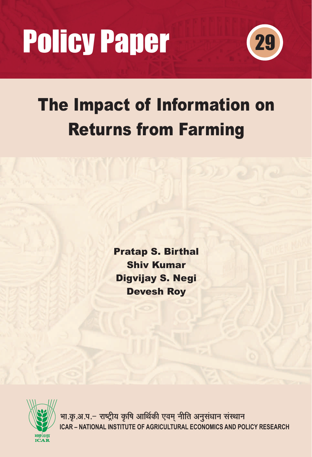# **Policy Paper**



# *The Impact of Information on Returns from Farming*

Pratap S. Birthal Shiv Kumar Digvijay S. Negi Devesh Roy



ICAR – NATIONAL INSTITUTE OF AGRICULTURAL ECONOMICS AND POLICY RESEARCH भा.कृ.अ.प.– राष्ट्रीय कृषि आर्थिकी एवम् नीति अनुसंधान संस्थान **~**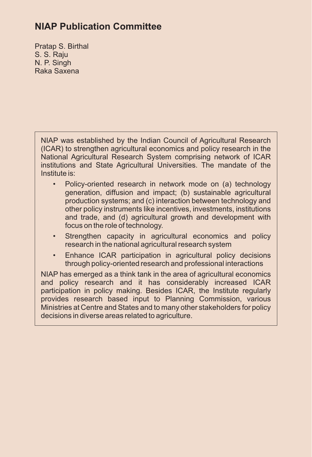# **NIAP Publication Committee**

Pratap S. Birthal S. S. Raju N. P. Singh Raka Saxena

NIAP was established by the Indian Council of Agricultural Research (ICAR) to strengthen agricultural economics and policy research in the National Agricultural Research System comprising network of ICAR institutions and State Agricultural Universities. The mandate of the Institute is:

- Policy-oriented research in network mode on (a) technology generation, diffusion and impact; (b) sustainable agricultural production systems; and (c) interaction between technology and other policy instruments like incentives, investments, institutions and trade, and (d) agricultural growth and development with focus on the role of technology.
- Strengthen capacity in agricultural economics and policy research in the national agricultural research system
- Enhance ICAR participation in agricultural policy decisions through policy-oriented research and professional interactions

NIAP has emerged as a think tank in the area of agricultural economics and policy research and it has considerably increased ICAR participation in policy making. Besides ICAR, the Institute regularly provides research based input to Planning Commission, various Ministries at Centre and States and to many other stakeholders for policy decisions in diverse areas related to agriculture.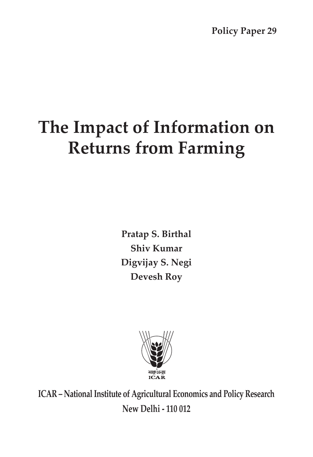**Policy Paper 29**

# **The Impact of Information on Returns from Farming**

**Pratap S. Birthal Shiv Kumar Digvijay S. Negi Devesh Roy**



**ICAR – National Institute of Agricultural Economics and Policy Research New Delhi - 110 012**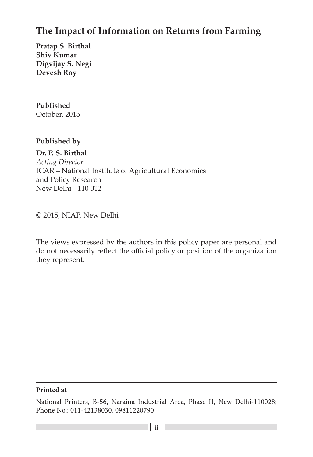# **The Impact of Information on Returns from Farming**

**Pratap S. Birthal Shiv Kumar Digvijay S. Negi Devesh Roy**

# **Published**

October, 2015

#### **Published by**

**Dr. P. S. Birthal**

*Acting Director* ICAR – National Institute of Agricultural Economics and Policy Research New Delhi - 110 012

© 2015, NIAP, New Delhi

The views expressed by the authors in this policy paper are personal and do not necessarily reflect the official policy or position of the organization they represent.

#### **Printed at**

National Printers, B-56, Naraina Industrial Area, Phase II, New Delhi-110028; Phone No.: 011-42138030, 09811220790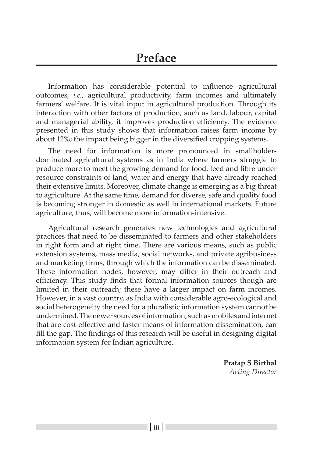Information has considerable potential to influence agricultural outcomes, *i.e.*, agricultural productivity, farm incomes and ultimately farmers' welfare. It is vital input in agricultural production. Through its interaction with other factors of production, such as land, labour, capital and managerial ability, it improves production efficiency. The evidence presented in this study shows that information raises farm income by about 12%; the impact being bigger in the diversified cropping systems.

The need for information is more pronounced in smallholderdominated agricultural systems as in India where farmers struggle to produce more to meet the growing demand for food, feed and fibre under resource constraints of land, water and energy that have already reached their extensive limits. Moreover, climate change is emerging as a big threat to agriculture. At the same time, demand for diverse, safe and quality food is becoming stronger in domestic as well in international markets. Future agriculture, thus, will become more information-intensive.

Agricultural research generates new technologies and agricultural practices that need to be disseminated to farmers and other stakeholders in right form and at right time. There are various means, such as public extension systems, mass media, social networks, and private agribusiness and marketing firms, through which the information can be disseminated. These information nodes, however, may differ in their outreach and efficiency. This study finds that formal information sources though are limited in their outreach; these have a larger impact on farm incomes. However, in a vast country, as India with considerable agro-ecological and social heterogeneity the need for a pluralistic information system cannot be undermined. The newer sources of information, such as mobiles and internet that are cost-effective and faster means of information dissemination, can fill the gap. The findings of this research will be useful in designing digital information system for Indian agriculture.

> **Pratap S Birthal** *Acting Director*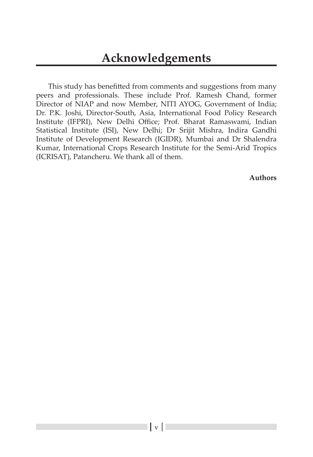This study has benefitted from comments and suggestions from many peers and professionals. These include Prof. Ramesh Chand, former Director of NIAP and now Member, NITI AYOG, Government of India; Dr. P.K. Joshi, Director-South, Asia, International Food Policy Research Institute (IFPRI), New Delhi Office; Prof. Bharat Ramaswami, Indian Statistical Institute (ISI), New Delhi; Dr Srijit Mishra, Indira Gandhi Institute of Development Research (IGIDR), Mumbai and Dr Shalendra Kumar, International Crops Research Institute for the Semi-Arid Tropics (ICRISAT), Patancheru. We thank all of them.

**Authors**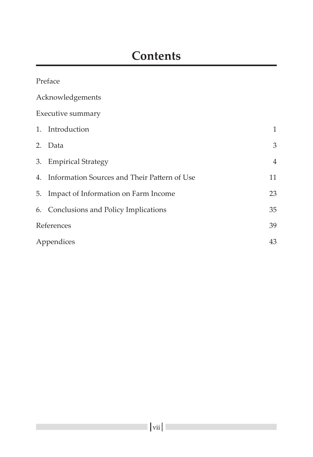| Preface                                         |                |
|-------------------------------------------------|----------------|
| Acknowledgements                                |                |
| Executive summary                               |                |
| 1. Introduction                                 | $\mathbf{1}$   |
| 2. Data                                         | 3              |
| 3. Empirical Strategy                           | $\overline{4}$ |
| 4. Information Sources and Their Pattern of Use | 11             |
| 5. Impact of Information on Farm Income         | 23             |
| 6. Conclusions and Policy Implications          | 35             |
| References                                      | 39             |
| Appendices                                      | 43             |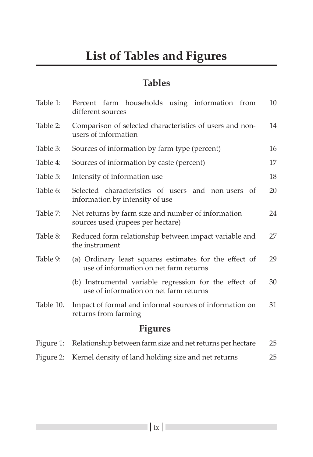# **Tables**

| Table 1:       | Percent farm households using information from<br>different sources                              | 10 |  |  |  |  |
|----------------|--------------------------------------------------------------------------------------------------|----|--|--|--|--|
| Table 2:       | Comparison of selected characteristics of users and non-<br>users of information                 | 14 |  |  |  |  |
| Table 3:       | Sources of information by farm type (percent)                                                    | 16 |  |  |  |  |
| Table 4:       | Sources of information by caste (percent)                                                        | 17 |  |  |  |  |
| Table 5:       | Intensity of information use                                                                     | 18 |  |  |  |  |
| Table 6:       | Selected characteristics of users and non-users of<br>information by intensity of use            | 20 |  |  |  |  |
| Table 7:       | Net returns by farm size and number of information<br>sources used (rupees per hectare)          | 24 |  |  |  |  |
| Table 8:       | Reduced form relationship between impact variable and<br>the instrument                          | 27 |  |  |  |  |
| Table 9:       | (a) Ordinary least squares estimates for the effect of<br>use of information on net farm returns | 29 |  |  |  |  |
|                | (b) Instrumental variable regression for the effect of<br>use of information on net farm returns | 30 |  |  |  |  |
| Table 10.      | Impact of formal and informal sources of information on<br>returns from farming                  | 31 |  |  |  |  |
| <b>Figures</b> |                                                                                                  |    |  |  |  |  |
| Figure 1:      | Relationship between farm size and net returns per hectare                                       | 25 |  |  |  |  |

Figure 2: Kernel density of land holding size and net returns 25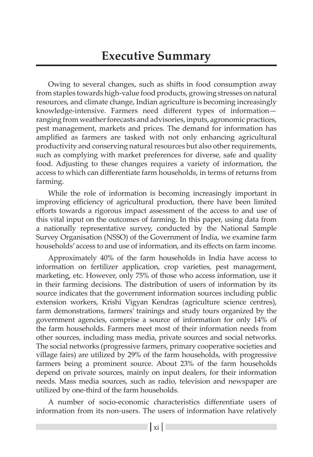Owing to several changes, such as shifts in food consumption away from staples towards high-value food products, growing stresses on natural resources, and climate change, Indian agriculture is becoming increasingly knowledge-intensive. Farmers need different types of information ranging from weather forecasts and advisories, inputs, agronomic practices, pest management, markets and prices. The demand for information has amplified as farmers are tasked with not only enhancing agricultural productivity and conserving natural resources but also other requirements, such as complying with market preferences for diverse, safe and quality food. Adjusting to these changes requires a variety of information, the access to which can differentiate farm households, in terms of returns from farming.

While the role of information is becoming increasingly important in improving efficiency of agricultural production, there have been limited efforts towards a rigorous impact assessment of the access to and use of this vital input on the outcomes of farming. In this paper, using data from a nationally representative survey, conducted by the National Sample Survey Organisation (NSSO) of the Government of India, we examine farm households' access to and use of information, and its effects on farm income.

Approximately 40% of the farm households in India have access to information on fertilizer application, crop varieties, pest management, marketing, etc. However, only 75% of those who access information, use it in their farming decisions. The distribution of users of information by its source indicates that the government information sources including public extension workers, Krishi Vigyan Kendras (agriculture science centres), farm demonstrations, farmers' trainings and study tours organized by the government agencies, comprise a source of information for only 14% of the farm households. Farmers meet most of their information needs from other sources, including mass media, private sources and social networks. The social networks (progressive farmers, primary cooperative societies and village fairs) are utilized by 29% of the farm households, with progressive farmers being a prominent source. About 23% of the farm households depend on private sources, mainly on input dealers, for their information needs. Mass media sources, such as radio, television and newspaper are utilized by one-third of the farm households.

A number of socio-economic characteristics differentiate users of information from its non-users. The users of information have relatively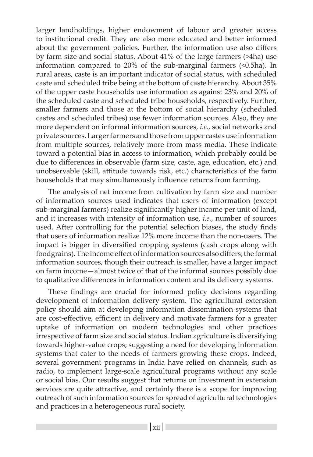larger landholdings, higher endowment of labour and greater access to institutional credit. They are also more educated and better informed about the government policies. Further, the information use also differs by farm size and social status. About 41% of the large farmers (>4ha) use information compared to 20% of the sub-marginal farmers (<0.5ha). In rural areas, caste is an important indicator of social status, with scheduled caste and scheduled tribe being at the bottom of caste hierarchy. About 35% of the upper caste households use information as against 23% and 20% of the scheduled caste and scheduled tribe households, respectively. Further, smaller farmers and those at the bottom of social hierarchy (scheduled castes and scheduled tribes) use fewer information sources. Also, they are more dependent on informal information sources, *i.e.*, social networks and private sources. Larger farmers and those from upper castes use information from multiple sources, relatively more from mass media. These indicate toward a potential bias in access to information, which probably could be due to differences in observable (farm size, caste, age, education, etc.) and unobservable (skill, attitude towards risk, etc.) characteristics of the farm households that may simultaneously influence returns from farming.

The analysis of net income from cultivation by farm size and number of information sources used indicates that users of information (except sub-marginal farmers) realize significantly higher income per unit of land, and it increases with intensity of information use, *i.e.*, number of sources used. After controlling for the potential selection biases, the study finds that users of information realize 12% more income than the non-users. The impact is bigger in diversified cropping systems (cash crops along with foodgrains). The income effect of information sources also differs; the formal information sources, though their outreach is smaller, have a larger impact on farm income—almost twice of that of the informal sources possibly due to qualitative differences in information content and its delivery systems.

These findings are crucial for informed policy decisions regarding development of information delivery system. The agricultural extension policy should aim at developing information dissemination systems that are cost-effective, efficient in delivery and motivate farmers for a greater uptake of information on modern technologies and other practices irrespective of farm size and social status. Indian agriculture is diversifying towards higher-value crops; suggesting a need for developing information systems that cater to the needs of farmers growing these crops. Indeed, several government programs in India have relied on channels, such as radio, to implement large-scale agricultural programs without any scale or social bias. Our results suggest that returns on investment in extension services are quite attractive, and certainly there is a scope for improving outreach of such information sources for spread of agricultural technologies and practices in a heterogeneous rural society.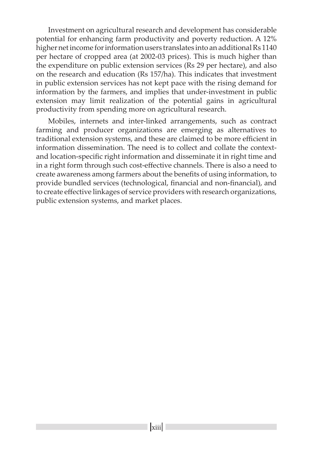Investment on agricultural research and development has considerable potential for enhancing farm productivity and poverty reduction. A 12% higher net income for information users translates into an additional Rs 1140 per hectare of cropped area (at 2002-03 prices). This is much higher than the expenditure on public extension services (Rs 29 per hectare), and also on the research and education (Rs 157/ha). This indicates that investment in public extension services has not kept pace with the rising demand for information by the farmers, and implies that under-investment in public extension may limit realization of the potential gains in agricultural productivity from spending more on agricultural research.

Mobiles, internets and inter-linked arrangements, such as contract farming and producer organizations are emerging as alternatives to traditional extension systems, and these are claimed to be more efficient in information dissemination. The need is to collect and collate the contextand location-specific right information and disseminate it in right time and in a right form through such cost-effective channels. There is also a need to create awareness among farmers about the benefits of using information, to provide bundled services (technological, financial and non-financial), and to create effective linkages of service providers with research organizations, public extension systems, and market places.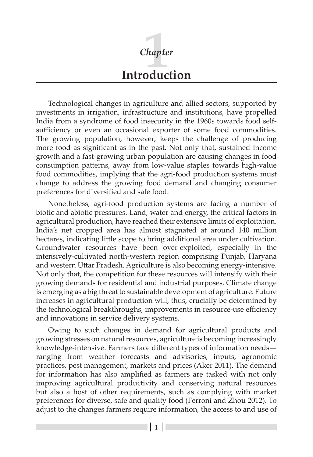# **Introduction** *Chapter* **1**

Technological changes in agriculture and allied sectors, supported by investments in irrigation, infrastructure and institutions, have propelled India from a syndrome of food insecurity in the 1960s towards food selfsufficiency or even an occasional exporter of some food commodities. The growing population, however, keeps the challenge of producing more food as significant as in the past. Not only that, sustained income growth and a fast-growing urban population are causing changes in food consumption patterns, away from low-value staples towards high-value food commodities, implying that the agri-food production systems must change to address the growing food demand and changing consumer preferences for diversified and safe food.

Nonetheless, agri-food production systems are facing a number of biotic and abiotic pressures. Land, water and energy, the critical factors in agricultural production, have reached their extensive limits of exploitation. India's net cropped area has almost stagnated at around 140 million hectares, indicating little scope to bring additional area under cultivation. Groundwater resources have been over-exploited, especially in the intensively-cultivated north-western region comprising Punjab, Haryana and western Uttar Pradesh. Agriculture is also becoming energy-intensive. Not only that, the competition for these resources will intensify with their growing demands for residential and industrial purposes. Climate change is emerging as a big threat to sustainable development of agriculture. Future increases in agricultural production will, thus, crucially be determined by the technological breakthroughs, improvements in resource-use efficiency and innovations in service delivery systems.

Owing to such changes in demand for agricultural products and growing stresses on natural resources, agriculture is becoming increasingly knowledge-intensive. Farmers face different types of information needs ranging from weather forecasts and advisories, inputs, agronomic practices, pest management, markets and prices (Aker 2011). The demand for information has also amplified as farmers are tasked with not only improving agricultural productivity and conserving natural resources but also a host of other requirements, such as complying with market preferences for diverse, safe and quality food (Ferroni and Zhou 2012). To adjust to the changes farmers require information, the access to and use of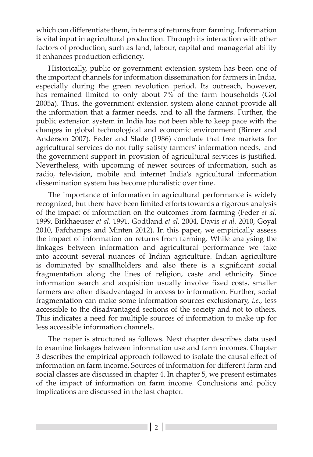which can differentiate them, in terms of returns from farming. Information is vital input in agricultural production. Through its interaction with other factors of production, such as land, labour, capital and managerial ability it enhances production efficiency.

Historically, public or government extension system has been one of the important channels for information dissemination for farmers in India, especially during the green revolution period. Its outreach, however, has remained limited to only about 7% of the farm households (GoI 2005a). Thus, the government extension system alone cannot provide all the information that a farmer needs, and to all the farmers. Further, the public extension system in India has not been able to keep pace with the changes in global technological and economic environment (Birner and Anderson 2007). Feder and Slade (1986) conclude that free markets for agricultural services do not fully satisfy farmers' information needs, and the government support in provision of agricultural services is justified. Nevertheless, with upcoming of newer sources of information, such as radio, television, mobile and internet India's agricultural information dissemination system has become pluralistic over time.

The importance of information in agricultural performance is widely recognized, but there have been limited efforts towards a rigorous analysis of the impact of information on the outcomes from farming (Feder *et al.* 1999, Birkhaeuser *et al.* 1991, Godtland *et al.* 2004, Davis *et al.* 2010, Goyal 2010, Fafchamps and Minten 2012). In this paper, we empirically assess the impact of information on returns from farming. While analysing the linkages between information and agricultural performance we take into account several nuances of Indian agriculture. Indian agriculture is dominated by smallholders and also there is a significant social fragmentation along the lines of religion, caste and ethnicity. Since information search and acquisition usually involve fixed costs, smaller farmers are often disadvantaged in access to information. Further, social fragmentation can make some information sources exclusionary, *i.e.*, less accessible to the disadvantaged sections of the society and not to others. This indicates a need for multiple sources of information to make up for less accessible information channels.

The paper is structured as follows. Next chapter describes data used to examine linkages between information use and farm incomes. Chapter 3 describes the empirical approach followed to isolate the causal effect of information on farm income. Sources of information for different farm and social classes are discussed in chapter 4. In chapter 5, we present estimates of the impact of information on farm income. Conclusions and policy implications are discussed in the last chapter.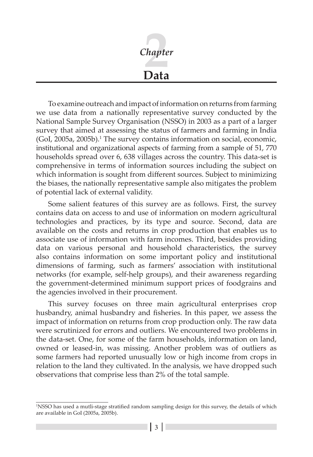

To examine outreach and impact of information on returns from farming we use data from a nationally representative survey conducted by the National Sample Survey Organisation (NSSO) in 2003 as a part of a larger survey that aimed at assessing the status of farmers and farming in India (GoI, 2005a, 2005b).<sup>1</sup> The survey contains information on social, economic, institutional and organizational aspects of farming from a sample of 51, 770 households spread over 6, 638 villages across the country. This data-set is comprehensive in terms of information sources including the subject on which information is sought from different sources. Subject to minimizing the biases, the nationally representative sample also mitigates the problem of potential lack of external validity.

Some salient features of this survey are as follows. First, the survey contains data on access to and use of information on modern agricultural technologies and practices, by its type and source. Second, data are available on the costs and returns in crop production that enables us to associate use of information with farm incomes. Third, besides providing data on various personal and household characteristics, the survey also contains information on some important policy and institutional dimensions of farming, such as farmers' association with institutional networks (for example, self-help groups), and their awareness regarding the government-determined minimum support prices of foodgrains and the agencies involved in their procurement.

This survey focuses on three main agricultural enterprises crop husbandry, animal husbandry and fisheries. In this paper, we assess the impact of information on returns from crop production only. The raw data were scrutinized for errors and outliers. We encountered two problems in the data-set. One, for some of the farm households, information on land, owned or leased-in, was missing. Another problem was of outliers as some farmers had reported unusually low or high income from crops in relation to the land they cultivated. In the analysis, we have dropped such observations that comprise less than 2% of the total sample.

<sup>1</sup> NSSO has used a mutli-stage stratified random sampling design for this survey, the details of which are available in GoI (2005a, 2005b).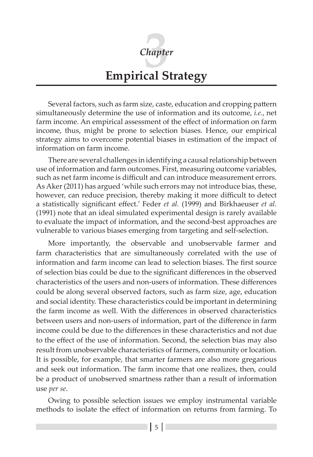

# **Empirical Strategy**

Several factors, such as farm size, caste, education and cropping pattern simultaneously determine the use of information and its outcome, *i.e.*, net farm income. An empirical assessment of the effect of information on farm income, thus, might be prone to selection biases. Hence, our empirical strategy aims to overcome potential biases in estimation of the impact of information on farm income.

There are several challenges in identifying a causal relationship between use of information and farm outcomes. First, measuring outcome variables, such as net farm income is difficult and can introduce measurement errors. As Aker (2011) has argued 'while such errors may not introduce bias, these, however, can reduce precision, thereby making it more difficult to detect a statistically significant effect.' Feder *et al.* (1999) and Birkhaeuser *et al.* (1991) note that an ideal simulated experimental design is rarely available to evaluate the impact of information, and the second-best approaches are vulnerable to various biases emerging from targeting and self-selection.

More importantly, the observable and unobservable farmer and farm characteristics that are simultaneously correlated with the use of information and farm income can lead to selection biases. The first source of selection bias could be due to the significant differences in the observed characteristics of the users and non-users of information. These differences could be along several observed factors, such as farm size, age, education and social identity. These characteristics could be important in determining the farm income as well. With the differences in observed characteristics between users and non-users of information, part of the difference in farm income could be due to the differences in these characteristics and not due to the effect of the use of information. Second, the selection bias may also result from unobservable characteristics of farmers, community or location. It is possible, for example, that smarter farmers are also more gregarious and seek out information. The farm income that one realizes, then, could be a product of unobserved smartness rather than a result of information use *per se*.

Owing to possible selection issues we employ instrumental variable methods to isolate the effect of information on returns from farming. To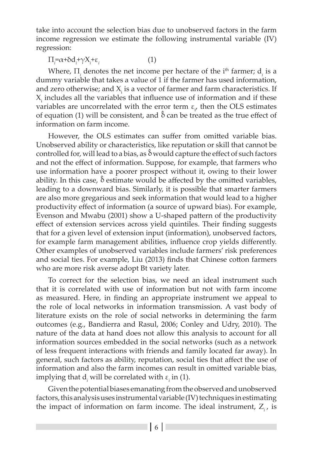take into account the selection bias due to unobserved factors in the farm income regression we estimate the following instrumental variable (IV) regression:

 $\Pi_i = \alpha + \delta d_i + \gamma X_i + \varepsilon_i$  (1)

Where,  $\Pi$ <sub>*i*</sub> denotes the net income per hectare of the  $i<sup>th</sup>$  farmer;  $d$ <sub>*i*</sub> is a dummy variable that takes a value of 1 if the farmer has used information, and zero otherwise; and  $X_i$  is a vector of farmer and farm characteristics. If  $X_i$  includes all the variables that influence use of information and if these variables are uncorrelated with the error term  $\varepsilon_{i'}$ , then the OLS estimates of equation (1) will be consistent, and  $\hat{\delta}$  can be treated as the true effect of information on farm income.

However, the OLS estimates can suffer from omitted variable bias. Unobserved ability or characteristics, like reputation or skill that cannot be controlled for, will lead to a bias, as  $\delta$  would capture the effect of such factors and not the effect of information. Suppose, for example, that farmers who use information have a poorer prospect without it, owing to their lower ability. In this case,  $\delta$  estimate would be affected by the omitted variables, leading to a downward bias. Similarly, it is possible that smarter farmers are also more gregarious and seek information that would lead to a higher productivity effect of information (a source of upward bias). For example, Evenson and Mwabu (2001) show a U-shaped pattern of the productivity effect of extension services across yield quintiles. Their finding suggests that for a given level of extension input (information), unobserved factors, for example farm management abilities, influence crop yields differently. Other examples of unobserved variables include farmers' risk preferences and social ties. For example, Liu (2013) finds that Chinese cotton farmers who are more risk averse adopt Bt variety later.

To correct for the selection bias, we need an ideal instrument such that it is correlated with use of information but not with farm income as measured. Here, in finding an appropriate instrument we appeal to the role of local networks in information transmission. A vast body of literature exists on the role of social networks in determining the farm outcomes (e.g., Bandierra and Rasul, 2006; Conley and Udry, 2010). The nature of the data at hand does not allow this analysis to account for all information sources embedded in the social networks (such as a network of less frequent interactions with friends and family located far away). In general, such factors as ability, reputation, social ties that affect the use of information and also the farm incomes can result in omitted variable bias, implying that  $d_i$  will be correlated with  $\varepsilon$ <sub>i</sub> in (1).

Given the potential biases emanating from the observed and unobserved factors, this analysis uses instrumental variable (IV) techniques in estimating the impact of information on farm income. The ideal instrument, Z*i* , is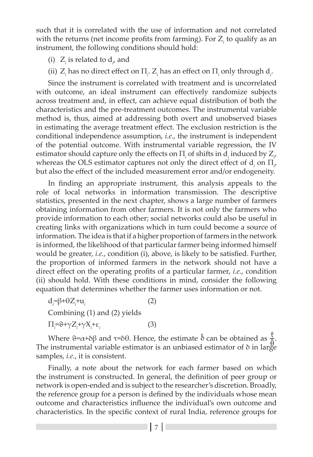such that it is correlated with the use of information and not correlated with the returns (net income profits from farming). For Z*i* to qualify as an instrument, the following conditions should hold:

- (i)  $Z_i$  is related to  $d_i$  and
- (ii)  $Z_i$  has no direct effect on  $\Pi_i$ .  $Z_i$  has an effect on  $\Pi_i$  only through  $d_i$ .

Since the instrument is correlated with treatment and is uncorrelated with outcome, an ideal instrument can effectively randomize subjects across treatment and, in effect, can achieve equal distribution of both the characteristics and the pre-treatment outcomes. The instrumental variable method is, thus, aimed at addressing both overt and unobserved biases in estimating the average treatment effect. The exclusion restriction is the conditional independence assumption, *i.e.*, the instrument is independent of the potential outcome. With instrumental variable regression, the IV estimator should capture only the effects on  $\Pi$ <sub>*i*</sub> of shifts in  $d$ <sub>*i*</sub> induced by  $Z$ <sub>*i*</sub> whereas the OLS estimator captures not only the direct effect of d<sub>*i*</sub> on Π<sub>*i*</sub> but also the effect of the included measurement error and/or endogeneity.

In finding an appropriate instrument, this analysis appeals to the role of local networks in information transmission. The descriptive statistics, presented in the next chapter, shows a large number of farmers obtaining information from other farmers. It is not only the farmers who provide information to each other; social networks could also be useful in creating links with organizations which in turn could become a source of information. The idea is that if a higher proportion of farmers in the network is informed, the likelihood of that particular farmer being informed himself would be greater, *i.e.*, condition (i), above, is likely to be satisfied. Further, the proportion of informed farmers in the network should not have a direct effect on the operating profits of a particular farmer, *i.e.*, condition (ii) should hold. With these conditions in mind, consider the following equation that determines whether the farmer uses information or not.

d*i =*β+θZ*<sup>i</sup>*  $+u_i$  (2) Combining (1) and (2) yields  $\Pi_i = \Theta + \gamma Z_i + \gamma X_i + \varepsilon_i$  (3)

Where  $\theta = \alpha + \delta \beta$  and  $\tau = \delta \theta$ . Hence, the estimate  $\hat{\delta}$  can be obtained as  $\frac{\tau}{\delta}$ . The instrumental variable estimator is an unbiased estimator of  $\delta$  in large samples, *i.e.*, it is consistent.

Finally, a note about the network for each farmer based on which the instrument is constructed. In general, the definition of peer group or network is open-ended and is subject to the researcher's discretion. Broadly, the reference group for a person is defined by the individuals whose mean outcome and characteristics influence the individual's own outcome and characteristics. In the specific context of rural India, reference groups for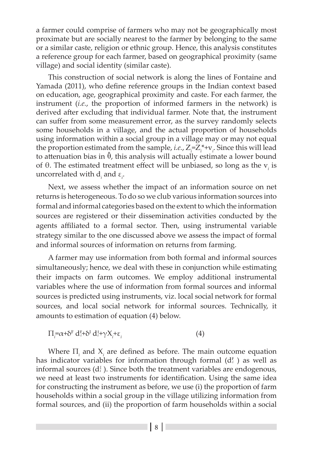a farmer could comprise of farmers who may not be geographically most proximate but are socially nearest to the farmer by belonging to the same or a similar caste, religion or ethnic group. Hence, this analysis constitutes a reference group for each farmer, based on geographical proximity (same village) and social identity (similar caste).

This construction of social network is along the lines of Fontaine and Yamada (2011), who define reference groups in the Indian context based on education, age, geographical proximity and caste. For each farmer, the instrument (*i.e.*, the proportion of informed farmers in the network) is derived after excluding that individual farmer. Note that, the instrument can suffer from some measurement error, as the survey randomly selects some households in a village, and the actual proportion of households using information within a social group in a village may or may not equal the proportion estimated from the sample, *i.e.*,  $Z_i = Z_i^* + v_i$ . Since this will lead to attenuation bias in  $\hat{\theta}$ , this analysis will actually estimate a lower bound of  $\theta$ . The estimated treatment effect will be unbiased, so long as the  $v_i$  is uncorrelated with  $d_i$  and  $\varepsilon_i$ .

Next, we assess whether the impact of an information source on net returns is heterogeneous. To do so we club various information sources into formal and informal categories based on the extent to which the information sources are registered or their dissemination activities conducted by the agents affiliated to a formal sector. Then, using instrumental variable strategy similar to the one discussed above we assess the impact of formal and informal sources of information on returns from farming.

A farmer may use information from both formal and informal sources simultaneously; hence, we deal with these in conjunction while estimating their impacts on farm outcomes. We employ additional instrumental variables where the use of information from formal sources and informal sources is predicted using instruments, viz. local social network for formal sources, and local social network for informal sources. Technically, it amounts to estimation of equation (4) below.

$$
\Pi_i = \alpha + \delta^F d_i^F + \delta^I d_i^F + \gamma X_i^+ \epsilon_i \tag{4}
$$

Where  $\Pi$ <sub>*i*</sub> and  $X$ <sub>*i*</sub> are defined as before. The main outcome equation has indicator variables for information through formal  $(d_i^F)$  as well as informal sources  $(d_i)$ . Since both the treatment variables are endogenous, we need at least two instruments for identification. Using the same idea for constructing the instrument as before, we use (i) the proportion of farm households within a social group in the village utilizing information from formal sources, and (ii) the proportion of farm households within a social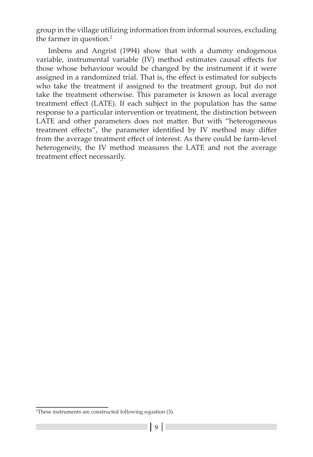group in the village utilizing information from informal sources, excluding the farmer in question.<sup>2</sup>

Imbens and Angrist (1994) show that with a dummy endogenous variable, instrumental variable (IV) method estimates causal effects for those whose behaviour would be changed by the instrument if it were assigned in a randomized trial. That is, the effect is estimated for subjects who take the treatment if assigned to the treatment group, but do not take the treatment otherwise. This parameter is known as local average treatment effect (LATE). If each subject in the population has the same response to a particular intervention or treatment, the distinction between LATE and other parameters does not matter. But with "heterogeneous treatment effects", the parameter identified by IV method may differ from the average treatment effect of interest. As there could be farm-level heterogeneity, the IV method measures the LATE and not the average treatment effect necessarily.

<sup>2</sup> These instruments are constructed following equation (3).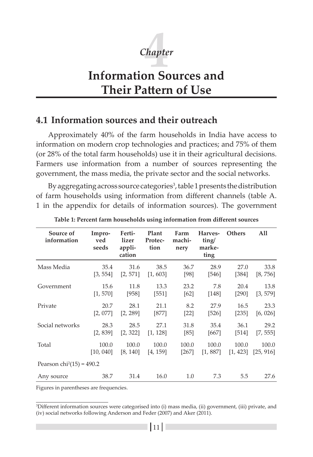

# **Information Sources and Their Pattern of Use**

### **4.1 Information sources and their outreach**

Approximately 40% of the farm households in India have access to information on modern crop technologies and practices; and 75% of them (or 28% of the total farm households) use it in their agricultural decisions. Farmers use information from a number of sources representing the government, the mass media, the private sector and the social networks.

By aggregating across source categories<sup>3</sup>, table 1 presents the distribution of farm households using information from different channels (table A. 1 in the appendix for details of information sources). The government

| Source of<br>information    | Impro-<br>ved<br>seeds | Ferti-<br>lizer<br>appli-<br>cation | Plant<br>Protec-<br>tion | Farm<br>machi-<br>nery | Harves-<br>ting/<br>marke-<br>ting | <b>Others</b> | All       |
|-----------------------------|------------------------|-------------------------------------|--------------------------|------------------------|------------------------------------|---------------|-----------|
| Mass Media                  | 35.4                   | 31.6                                | 38.5                     | 36.7                   | 28.9                               | 27.0          | 33.8      |
|                             | [3, 554]               | [2, 571]                            | [1, 603]                 | [98]                   | [546]                              | [384]         | [8, 756]  |
| Government                  | 15.6                   | 11.8                                | 13.3                     | 23.2                   | 7.8                                | 20.4          | 13.8      |
|                             | [1, 570]               | [958]                               | [551]                    | [62]                   | [148]                              | [290]         | [3, 579]  |
| Private                     | 20.7                   | 28.1                                | 21.1                     | 8.2                    | 27.9                               | 16.5          | 23.3      |
|                             | [2, 077]               | [2, 289]                            | $[877]$                  | $[22]$                 | [526]                              | [235]         | [6, 026]  |
| Social networks             | 28.3                   | 28.5                                | 27.1                     | 31.8                   | 35.4                               | 36.1          | 29.2      |
|                             | [2, 839]               | [2, 322]                            | [1, 128]                 | [85]                   | [667]                              | [514]         | [7, 555]  |
| Total                       | 100.0                  | 100.0                               | 100.0                    | 100.0                  | 100.0                              | 100.0         | 100.0     |
|                             | [10, 040]              | [8, 140]                            | [4, 159]                 | $[267]$                | [1, 887]                           | [1, 423]      | [25, 916] |
| Pearson $chi^2(15) = 490.2$ |                        |                                     |                          |                        |                                    |               |           |
| Any source                  | 38.7                   | 31.4                                | 16.0                     | 1.0                    | 7.3                                | 5.5           | 27.6      |

**Table 1: Percent farm households using information from different sources**

Figures in parentheses are frequencies.

<sup>3</sup> Different information sources were categorised into (i) mass media, (ii) government, (iii) private, and (iv) social networks following Anderson and Feder (2007) and Aker (2011).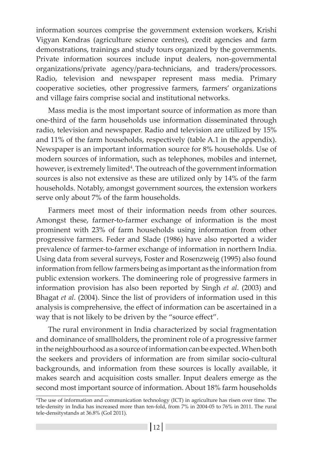information sources comprise the government extension workers, Krishi Vigyan Kendras (agriculture science centres), credit agencies and farm demonstrations, trainings and study tours organized by the governments. Private information sources include input dealers, non-governmental organizations/private agency/para-technicians, and traders/processors. Radio, television and newspaper represent mass media. Primary cooperative societies, other progressive farmers, farmers' organizations and village fairs comprise social and institutional networks.

Mass media is the most important source of information as more than one-third of the farm households use information disseminated through radio, television and newspaper. Radio and television are utilized by 15% and 11% of the farm households, respectively (table A.1 in the appendix). Newspaper is an important information source for 8% households. Use of modern sources of information, such as telephones, mobiles and internet, however, is extremely limited<sup>4</sup>. The outreach of the government information sources is also not extensive as these are utilized only by 14% of the farm households. Notably, amongst government sources, the extension workers serve only about 7% of the farm households.

Farmers meet most of their information needs from other sources. Amongst these, farmer-to-farmer exchange of information is the most prominent with 23% of farm households using information from other progressive farmers. Feder and Slade (1986) have also reported a wider prevalence of farmer-to-farmer exchange of information in northern India. Using data from several surveys, Foster and Rosenzweig (1995) also found information from fellow farmers being as important as the information from public extension workers. The domineering role of progressive farmers in information provision has also been reported by Singh *et al*. (2003) and Bhagat *et al*. (2004). Since the list of providers of information used in this analysis is comprehensive, the effect of information can be ascertained in a way that is not likely to be driven by the "source effect".

The rural environment in India characterized by social fragmentation and dominance of smallholders, the prominent role of a progressive farmer in the neighbourhood as a source of information can be expected. When both the seekers and providers of information are from similar socio-cultural backgrounds, and information from these sources is locally available, it makes search and acquisition costs smaller. Input dealers emerge as the second most important source of information. About 18% farm households

<sup>4</sup> The use of information and communication technology (ICT) in agriculture has risen over time. The tele-density in India has increased more than ten-fold, from 7% in 2004-05 to 76% in 2011. The rural tele-densitystands at 36.8% (GoI 2011).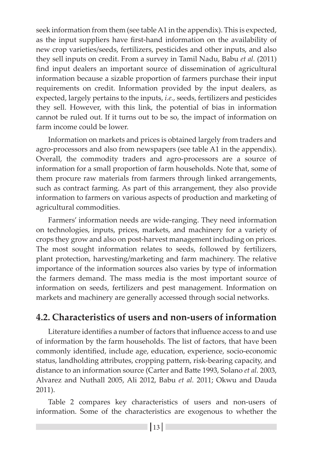seek information from them (see table A1 in the appendix). This is expected, as the input suppliers have first-hand information on the availability of new crop varieties/seeds, fertilizers, pesticides and other inputs, and also they sell inputs on credit. From a survey in Tamil Nadu, Babu *et al.* (2011) find input dealers an important source of dissemination of agricultural information because a sizable proportion of farmers purchase their input requirements on credit. Information provided by the input dealers, as expected, largely pertains to the inputs, *i.e.*, seeds, fertilizers and pesticides they sell. However, with this link, the potential of bias in information cannot be ruled out. If it turns out to be so, the impact of information on farm income could be lower.

Information on markets and prices is obtained largely from traders and agro-processors and also from newspapers (see table A1 in the appendix). Overall, the commodity traders and agro-processors are a source of information for a small proportion of farm households. Note that, some of them procure raw materials from farmers through linked arrangements, such as contract farming. As part of this arrangement, they also provide information to farmers on various aspects of production and marketing of agricultural commodities.

Farmers' information needs are wide-ranging. They need information on technologies, inputs, prices, markets, and machinery for a variety of crops they grow and also on post-harvest management including on prices. The most sought information relates to seeds, followed by fertilizers, plant protection, harvesting/marketing and farm machinery. The relative importance of the information sources also varies by type of information the farmers demand. The mass media is the most important source of information on seeds, fertilizers and pest management. Information on markets and machinery are generally accessed through social networks.

## **4.2. Characteristics of users and non-users of information**

Literature identifies a number of factors that influence access to and use of information by the farm households. The list of factors, that have been commonly identified, include age, education, experience, socio-economic status, landholding attributes, cropping pattern, risk-bearing capacity, and distance to an information source (Carter and Batte 1993, Solano *et al.* 2003, Alvarez and Nuthall 2005, Ali 2012, Babu *et al.* 2011; Okwu and Dauda 2011).

Table 2 compares key characteristics of users and non-users of information. Some of the characteristics are exogenous to whether the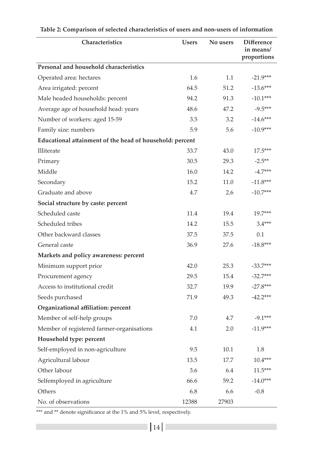| Characteristics                                          | <b>Users</b> | No users | <b>Difference</b><br>in means/<br>proportions |
|----------------------------------------------------------|--------------|----------|-----------------------------------------------|
| Personal and household characteristics                   |              |          |                                               |
| Operated area: hectares                                  | 1.6          | 1.1      | $-21.9***$                                    |
| Area irrigated: percent                                  | 64.5         | 51.2     | $-13.6***$                                    |
| Male headed households: percent                          | 94.2         | 91.3     | $-10.1***$                                    |
| Average age of household head: years                     | 48.6         | 47.2     | $-9.5***$                                     |
| Number of workers: aged 15-59                            | 3.5          | 3.2      | $-14.6***$                                    |
| Family size: numbers                                     | 5.9          | 5.6      | $-10.9***$                                    |
| Educational attainment of the head of household: percent |              |          |                                               |
| Illiterate                                               | 33.7         | 43.0     | $17.5***$                                     |
| Primary                                                  | 30.5         | 29.3     | $-2.5**$                                      |
| Middle                                                   | 16.0         | 14.2     | $-4.7***$                                     |
| Secondary                                                | 15.2         | 11.0     | $-11.8***$                                    |
| Graduate and above                                       | 4.7          | 2.6      | $-10.7***$                                    |
| Social structure by caste: percent                       |              |          |                                               |
| Scheduled caste                                          | 11.4         | 19.4     | $19.7***$                                     |
| Scheduled tribes                                         | 14.2         | 15.5     | $3.4***$                                      |
| Other backward classes                                   | 37.5         | 37.5     | 0.1                                           |
| General caste                                            | 36.9         | 27.6     | $-18.8***$                                    |
| Markets and policy awareness: percent                    |              |          |                                               |
| Minimum support price                                    | 42.0         | 25.3     | $-33.7***$                                    |
| Procurement agency                                       | 29.5         | 15.4     | $-32.7***$                                    |
| Access to institutional credit                           | 32.7         | 19.9     | $-27.8***$                                    |
| Seeds purchased                                          | 71.9         | 49.3     | $-42.2***$                                    |
| Organizational affiliation: percent                      |              |          |                                               |
| Member of self-help groups                               | 7.0          | 4.7      | $-9.1***$                                     |
| Member of registered farmer-organisations                | 4.1          | 2.0      | $-11.9***$                                    |
| Household type: percent                                  |              |          |                                               |
| Self-employed in non-agriculture                         | 9.5          | 10.1     | 1.8                                           |
| Agricultural labour                                      | 13.5         | 17.7     | $10.4***$                                     |
| Other labour                                             | 3.6          | 6.4      | $11.5***$                                     |
| Selfemployed in agriculture                              | 66.6         | 59.2     | $-14.0***$                                    |
| Others                                                   | 6.8          | 6.6      | $-0.8$                                        |
| No. of observations                                      | 12388        | 27903    |                                               |

| Table 2: Comparison of selected characteristics of users and non-users of information |  |  |
|---------------------------------------------------------------------------------------|--|--|
|---------------------------------------------------------------------------------------|--|--|

\*\*\* and \*\* denote significance at the 1% and 5% level, respectively.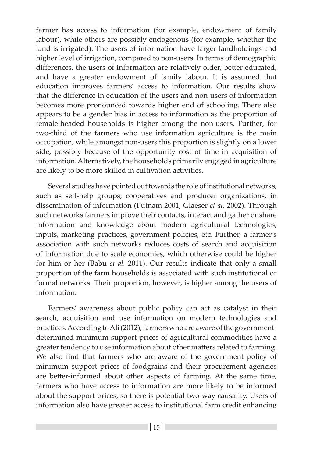farmer has access to information (for example, endowment of family labour), while others are possibly endogenous (for example, whether the land is irrigated). The users of information have larger landholdings and higher level of irrigation, compared to non-users. In terms of demographic differences, the users of information are relatively older, better educated, and have a greater endowment of family labour. It is assumed that education improves farmers' access to information. Our results show that the difference in education of the users and non-users of information becomes more pronounced towards higher end of schooling. There also appears to be a gender bias in access to information as the proportion of female-headed households is higher among the non-users. Further, for two-third of the farmers who use information agriculture is the main occupation, while amongst non-users this proportion is slightly on a lower side, possibly because of the opportunity cost of time in acquisition of information. Alternatively, the households primarily engaged in agriculture are likely to be more skilled in cultivation activities.

Several studies have pointed out towards the role of institutional networks, such as self-help groups, cooperatives and producer organizations, in dissemination of information (Putnam 2001, Glaeser *et al.* 2002). Through such networks farmers improve their contacts, interact and gather or share information and knowledge about modern agricultural technologies, inputs, marketing practices, government policies, etc. Further, a farmer's association with such networks reduces costs of search and acquisition of information due to scale economies, which otherwise could be higher for him or her (Babu *et al.* 2011). Our results indicate that only a small proportion of the farm households is associated with such institutional or formal networks. Their proportion, however, is higher among the users of information.

Farmers' awareness about public policy can act as catalyst in their search, acquisition and use information on modern technologies and practices. According to Ali (2012), farmers who are aware of the governmentdetermined minimum support prices of agricultural commodities have a greater tendency to use information about other matters related to farming. We also find that farmers who are aware of the government policy of minimum support prices of foodgrains and their procurement agencies are better-informed about other aspects of farming. At the same time, farmers who have access to information are more likely to be informed about the support prices, so there is potential two-way causality. Users of information also have greater access to institutional farm credit enhancing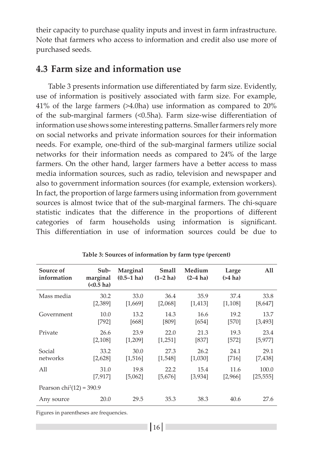their capacity to purchase quality inputs and invest in farm infrastructure. Note that farmers who access to information and credit also use more of purchased seeds.

## **4.3 Farm size and information use**

Table 3 presents information use differentiated by farm size. Evidently, use of information is positively associated with farm size. For example, 41% of the large farmers (>4.0ha) use information as compared to 20% of the sub-marginal farmers (<0.5ha). Farm size-wise differentiation of information use shows some interesting patterns. Smaller farmers rely more on social networks and private information sources for their information needs. For example, one-third of the sub-marginal farmers utilize social networks for their information needs as compared to 24% of the large farmers. On the other hand, larger farmers have a better access to mass media information sources, such as radio, television and newspaper and also to government information sources (for example, extension workers). In fact, the proportion of large farmers using information from government sources is almost twice that of the sub-marginal farmers. The chi-square statistic indicates that the difference in the proportions of different categories of farm households using information is significant. This differentiation in use of information sources could be due to

| Source of<br>information | Sub-<br>marginal<br>$(0.5 \text{ ha})$ | Marginal<br>$(0.5-1)$ ha) | Small<br>$(1-2)$ ha) | Medium<br>$(2-4)$ ha) | Large<br>$($ >4 ha) | All       |  |  |
|--------------------------|----------------------------------------|---------------------------|----------------------|-----------------------|---------------------|-----------|--|--|
| Mass media               | 30.2                                   | 33.0                      | 36.4                 | 35.9                  | 37.4                | 33.8      |  |  |
|                          | [2,389]                                | [1,669]                   | [2,068]              | [1, 413]              | [1,108]             | [8,647]   |  |  |
| Government               | 10.0                                   | 13.2                      | 14.3                 | 16.6                  | 19.2                | 13.7      |  |  |
|                          | [792]                                  | [668]                     | [809]                | [654]                 | [570]               | [3,493]   |  |  |
| Private                  | 26.6                                   | 23.9                      | 22.0                 | 21.3                  | 19.3                | 23.4      |  |  |
|                          | [2,108]                                | [1,209]                   | [1,251]              | [837]                 | [572]               | [5, 977]  |  |  |
| Social                   | 33.2                                   | 30.0                      | 27.3                 | 26.2                  | 24.1                | 29.1      |  |  |
| networks                 | [2,628]                                | [1,516]                   | [1,548]              | [1,030]               | [716]               | [7,438]   |  |  |
| All                      | 31.0                                   | 19.8                      | 22.2                 | 15.4                  | 11.6                | 100.0     |  |  |
|                          | [7, 917]                               | [5,062]                   | [5,676]              | [3, 934]              | [2,966]             | [25, 555] |  |  |
|                          | Pearson $chi^2(12) = 390.9$            |                           |                      |                       |                     |           |  |  |
| Any source               | 20.0                                   | 29.5                      | 35.3                 | 38.3                  | 40.6                | 27.6      |  |  |

**Table 3: Sources of information by farm type (percent)**

Figures in parentheses are frequencies.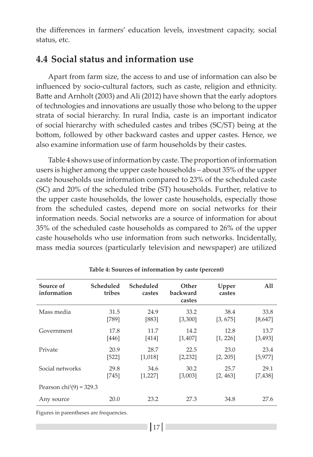the differences in farmers' education levels, investment capacity, social status, etc.

### **4.4 Social status and information use**

Apart from farm size, the access to and use of information can also be influenced by socio-cultural factors, such as caste, religion and ethnicity. Batte and Arnholt (2003) and Ali (2012) have shown that the early adoptors of technologies and innovations are usually those who belong to the upper strata of social hierarchy. In rural India, caste is an important indicator of social hierarchy with scheduled castes and tribes (SC/ST) being at the bottom, followed by other backward castes and upper castes. Hence, we also examine information use of farm households by their castes.

Table 4 shows use of information by caste. The proportion of information users is higher among the upper caste households – about 35% of the upper caste households use information compared to 23% of the scheduled caste (SC) and 20% of the scheduled tribe (ST) households. Further, relative to the upper caste households, the lower caste households, especially those from the scheduled castes, depend more on social networks for their information needs. Social networks are a source of information for about 35% of the scheduled caste households as compared to 26% of the upper caste households who use information from such networks. Incidentally, mass media sources (particularly television and newspaper) are utilized

| Source of<br>information   | Scheduled<br>tribes | Scheduled<br>castes | Other<br>backward<br>castes | Upper<br>castes | All      |
|----------------------------|---------------------|---------------------|-----------------------------|-----------------|----------|
| Mass media                 | 31.5                | 24.9                | 33.2                        | 38.4            | 33.8     |
|                            | [789]               | [883]               | [3,300]                     | [3, 675]        | [8,647]  |
| Government                 | 17.8                | 11.7                | 14.2                        | 12.8            | 13.7     |
|                            | [446]               | [414]               | [1,407]                     | [1, 226]        | [3, 493] |
| Private                    | 20.9                | 28.7                | 22.5                        | 23.0            | 23.4     |
|                            | [522]               | [1,018]             | [2,232]                     | [2, 205]        | [5, 977] |
| Social networks            | 29.8                | 34.6                | 30.2                        | 25.7            | 29.1     |
|                            | [745]               | [1, 227]            | [3,003]                     | [2, 463]        | [7,438]  |
| Pearson $chi^2(9) = 329.3$ |                     |                     |                             |                 |          |
| Any source                 | 20.0                | 23.2                | 27.3                        | 34.8            | 27.6     |

| Table 4: Sources of information by caste (percent) |  |  |  |
|----------------------------------------------------|--|--|--|
|----------------------------------------------------|--|--|--|

Figures in parentheses are frequencies.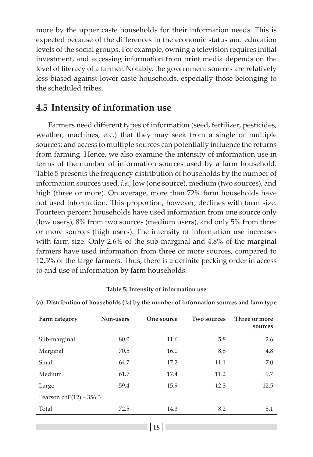more by the upper caste households for their information needs. This is expected because of the differences in the economic status and education levels of the social groups. For example, owning a television requires initial investment, and accessing information from print media depends on the level of literacy of a farmer. Notably, the government sources are relatively less biased against lower caste households, especially those belonging to the scheduled tribes.

### **4.5 Intensity of information use**

Farmers need different types of information (seed, fertilizer, pesticides, weather, machines, etc.) that they may seek from a single or multiple sources; and access to multiple sources can potentially influence the returns from farming. Hence, we also examine the intensity of information use in terms of the number of information sources used by a farm household. Table 5 presents the frequency distribution of households by the number of information sources used, *i.e.*, low (one source), medium (two sources), and high (three or more). On average, more than 72% farm households have not used information. This proportion, however, declines with farm size. Fourteen percent households have used information from one source only (low users), 8% from two sources (medium users), and only 5% from three or more sources (high users). The intensity of information use increases with farm size. Only 2.6% of the sub-marginal and 4.8% of the marginal farmers have used information from three or more sources, compared to 12.5% of the large farmers. Thus, there is a definite pecking order in access to and use of information by farm households.

#### **Table 5: Intensity of information use**

| Farm category               | Non-users | One source | <b>Two sources</b> | Three or more<br>sources |
|-----------------------------|-----------|------------|--------------------|--------------------------|
| Sub-marginal                | 80.0      | 11.6       | 5.8                | 2.6                      |
| Marginal                    | 70.5      | 16.0       | 8.8                | 4.8                      |
| Small                       | 64.7      | 17.2       | 11.1               | 7.0                      |
| Medium                      | 61.7      | 17.4       | 11.2               | 9.7                      |
| Large                       | 59.4      | 15.9       | 12.3               | 12.5                     |
| Pearson $chi^2(12) = 356.3$ |           |            |                    |                          |
| Total                       | 72.5      | 14.3       | 8.2                | 5.1                      |

**(a) Distribution of households (%) by the number of information sources and farm type**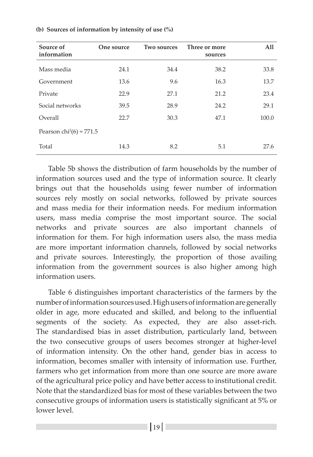| Source of<br>information          | One source | <b>Two sources</b> | Three or more<br>sources | All   |
|-----------------------------------|------------|--------------------|--------------------------|-------|
| Mass media                        | 24.1       | 34.4               | 38.2                     | 33.8  |
| Government                        | 13.6       | 9.6                | 16.3                     | 13.7  |
| Private                           | 22.9       | 27.1               | 21.2                     | 23.4  |
| Social networks                   | 39.5       | 28.9               | 24.2                     | 29.1  |
| Overall                           | 22.7       | 30.3               | 47.1                     | 100.0 |
| Pearson $\text{chi}^2(6) = 771.5$ |            |                    |                          |       |
| Total                             | 14.3       | 8.2                | 5.1                      | 27.6  |

#### **(b) Sources of information by intensity of use (%)**

Table 5b shows the distribution of farm households by the number of information sources used and the type of information source. It clearly brings out that the households using fewer number of information sources rely mostly on social networks, followed by private sources and mass media for their information needs. For medium information users, mass media comprise the most important source. The social networks and private sources are also important channels of information for them. For high information users also, the mass media are more important information channels, followed by social networks and private sources. Interestingly, the proportion of those availing information from the government sources is also higher among high information users.

Table 6 distinguishes important characteristics of the farmers by the number of information sources used. High users of information are generally older in age, more educated and skilled, and belong to the influential segments of the society. As expected, they are also asset-rich. The standardised bias in asset distribution, particularly land, between the two consecutive groups of users becomes stronger at higher-level of information intensity. On the other hand, gender bias in access to information, becomes smaller with intensity of information use. Further, farmers who get information from more than one source are more aware of the agricultural price policy and have better access to institutional credit. Note that the standardized bias for most of these variables between the two consecutive groups of information users is statistically significant at 5% or lower level.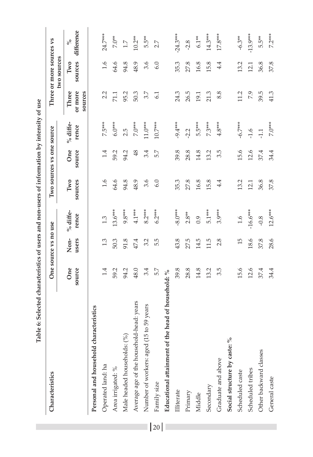| Characteristics                                    |        | One source vs no use |            |         | Two sources vs one source |            |                    | Three or more sources vs<br>two sources |            |
|----------------------------------------------------|--------|----------------------|------------|---------|---------------------------|------------|--------------------|-----------------------------------------|------------|
|                                                    | One    | Non-                 | % diffe-   | Two     | One                       | $%$ diffe- | Three              | Two                                     | $\delta$   |
|                                                    | source | users                | rence      | sources | source                    | rence      | or more<br>sources | sources                                 | difference |
| Personal and household characteristics             |        |                      |            |         |                           |            |                    |                                         |            |
| Operated land: ha                                  | 1.4    | 1.3                  | 1.3        | 1.6     | 1.4                       | 7.5***     | 2.2                | 1.6                                     | 24.7***    |
| Area irrigated: %                                  | 59.2   | 50.3                 | $13.6***$  | 64.6    | 59.2                      | $6.0***$   | 71.1               | 64.6                                    | $7.0**$    |
| Male headed households: (%)                        | 94.2   | 91.8                 | 9.8***     | 94.8    | 94.2                      | 2.5        | 95.2               | 94.8                                    | $1.7\,$    |
| Average age of the household-head: years           | 48.0   | 47.4                 | $4.1***$   | 48.9    | 48                        | $7.0***$   | 50.3               | 48.9                                    | $10.2**$   |
| Number of workers: aged (15 to 59 years            | 3.4    | 3.2                  | $8.2***$   | 3.6     | 3.4                       | $11.0***$  | 3.7                | 3.6                                     | 5.5**      |
| Family size                                        | 5.7    | 5.5                  | $6.2***$   | 6.0     | 5.7                       | 10.7***    | 61                 | 6.0                                     | 2.7        |
| Educational attainment of the head of household: % |        |                      |            |         |                           |            |                    |                                         |            |
| Illiterate                                         | 39.8   | 43.8                 | $-8.0***$  | 35.3    | 39.8                      | $-9.4***$  | 24.3               | 35.3                                    | $-24.3***$ |
| Primary                                            | 28.8   | 27.5                 | $2.8**$    | 27.8    | 28.8                      | $-2.2$     | 26.5               | 27.8                                    | $-2.8$     |
| Middle                                             | 14.8   | 14.5                 | 0.9        | 16.8    | 14.8                      | 5.5***     | 19.1               | 16.8                                    | $6.1**$    |
| Secondary                                          | 13.2   | 11.5                 | 5.1***     | 15.8    | 13.2                      | 7.3***     | 21.3               | 15.8                                    | $14.3***$  |
| Graduate and above                                 | 3.5    | 2.8                  | $3.9***$   | 4.4     | 3.5                       | $4.8***$   | 8.8                | 4.4                                     | $17.8***$  |
| Social structure by caste: %                       |        |                      |            |         |                           |            |                    |                                         |            |
| Scheduled caste                                    | 15.6   | 15                   | 1.6        | 13.2    | 15.6                      | $-6.7***$  | 11.2               | 13.2                                    | $-6.3**$   |
| Scheduled tribes                                   | 12.6   | 18.6                 | $-16.6***$ | 12.1    | 12.6                      | $-1.6$     | 7.9                | 12.1                                    | $-13.9***$ |
| Other backward classes                             | 37.4   | 37.8                 | $-0.8$     | 36.8    | 37.4                      | $-1.1$     | 39.5               | 36.8                                    | 5.5**      |
| General caste                                      | 34.4   | 28.6                 | $12.6***$  | 37.8    | 34.4                      | 7.0***     | 41.3               | 37.8                                    | 7.2***     |

Table 6: Selected characteristics of users and non-users of information by intensity of use **Table 6: Selected characteristics of users and non-users of information by intensity of use**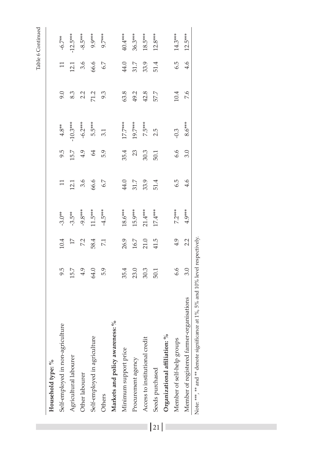| ı. |  |
|----|--|
| ı  |  |

| Household type: %                                                              |      |                |           |       |      |            |      |       |            |
|--------------------------------------------------------------------------------|------|----------------|-----------|-------|------|------------|------|-------|------------|
| Self-employed in non-agriculture                                               | 9.5  | 10.4           | $-3.0**$  | $\Xi$ | 9.5  | $4.8**$    | 9.0  | $\Xi$ | $-6.7**$   |
| Agricultural labourer                                                          | 15.7 | 17             | $-3.5**$  | 12.1  | 15.7 | $-10.3***$ | 8.3  | 12.1  | $-12.5***$ |
| Other labourer                                                                 | 4.9  | 72             | $-9.8***$ | 3.6   | 4.9  | $-6.2***$  | 2.2  | 3.6   | $-8.5***$  |
| Self-employed in agriculture                                                   | 64.0 | 58.4           | $11.5***$ | 66.6  | 64   | 5.5***     | 71.2 | 66.6  | 9.9***     |
| Others                                                                         | 5.9  | $\overline{2}$ | $-4.5***$ | 6.7   | 5.9  | 3.1        | 93   | 6.7   | 9.7***     |
| $\delta$<br>Markets and policy awareness:                                      |      |                |           |       |      |            |      |       |            |
| Minimum support price                                                          | 35.4 | 26.9           | $18.6***$ | 44.0  | 35.4 | $17.7***$  | 63.8 | 44.0  | 40.4***    |
| Procurement agency                                                             | 23.0 | 16.7           | 15.9***   | 31.7  | 23   | 19.7***    | 49.2 | 31.7  | 36.3***    |
| Access to institutional credit                                                 | 30.3 | 21.0           | $21.4***$ | 33.9  | 30.3 | 7.5***     | 42.8 | 33.9  | $18.5***$  |
| Seeds purchased                                                                | 50.1 | 41.5           | 17.4***   | 51.4  | 50.1 | 2.5        | 57.7 | 51.4  | $12.8***$  |
| Organizational affiliation: %                                                  |      |                |           |       |      |            |      |       |            |
| Member of self-help groups                                                     | 6.6  | 4.9            | $7.2***$  | 6.5   | 6.6  | $-0.3$     | 10.4 | 6.5   | 14.3***    |
| Member of registered farmer-organisations                                      | 3.0  | 2.2            | $4.9***$  | 4.6   | 3.0  | $8.6***$   | 7.6  | 4.6   | $12.5***$  |
| Note: ***, ** and ** denote significance at 1%, 5% and 10% level respectively. |      |                |           |       |      |            |      |       |            |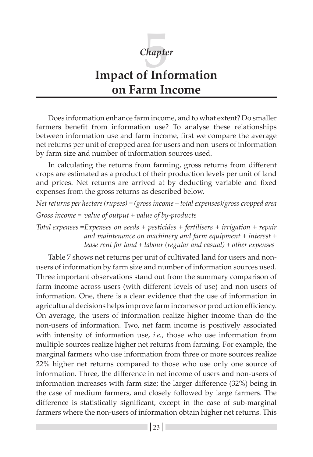

# **Impact of Information on Farm Income**

Does information enhance farm income, and to what extent? Do smaller farmers benefit from information use? To analyse these relationships between information use and farm income, first we compare the average net returns per unit of cropped area for users and non-users of information by farm size and number of information sources used.

In calculating the returns from farming, gross returns from different crops are estimated as a product of their production levels per unit of land and prices. Net returns are arrived at by deducting variable and fixed expenses from the gross returns as described below.

```
Net returns per hectare (rupees) = (gross income – total expenses)/gross cropped area
Gross income = value of output + value of by-products
```
*Total expenses =Expenses on seeds + pesticides + fertilisers + irrigation + repair and maintenance on machinery and farm equipment + interest + lease rent for land + labour (regular and casual) + other expenses*

Table 7 shows net returns per unit of cultivated land for users and nonusers of information by farm size and number of information sources used. Three important observations stand out from the summary comparison of farm income across users (with different levels of use) and non-users of information. One, there is a clear evidence that the use of information in agricultural decisions helps improve farm incomes or production efficiency. On average, the users of information realize higher income than do the non-users of information. Two, net farm income is positively associated with intensity of information use, *i.e.*, those who use information from multiple sources realize higher net returns from farming. For example, the marginal farmers who use information from three or more sources realize 22% higher net returns compared to those who use only one source of information. Three, the difference in net income of users and non-users of information increases with farm size; the larger difference (32%) being in the case of medium farmers, and closely followed by large farmers. The difference is statistically significant, except in the case of sub-marginal farmers where the non-users of information obtain higher net returns. This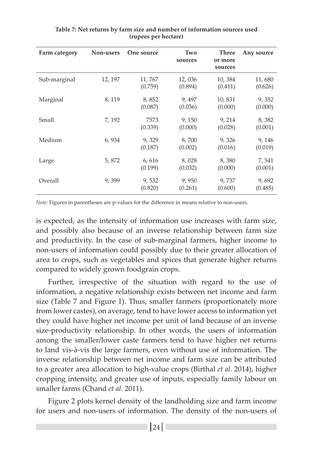| Farm category | Non-users | One source        | Two<br>sources    | Three<br>or more<br>sources | Any source        |
|---------------|-----------|-------------------|-------------------|-----------------------------|-------------------|
| Sub-marginal  | 12, 197   | 11,767<br>(0.759) | 12,036<br>(0.894) | 10,384<br>(0.411)           | 11,680<br>(0.626) |
| Marginal      | 8, 119    | 8,852<br>(0.087)  | 9,497<br>(0.036)  | 10,831<br>(0.000)           | 9,352<br>(0.000)  |
| Small         | 7, 192    | 7573<br>(0.339)   | 9,150<br>(0.000)  | 9, 214<br>(0.028)           | 8,382<br>(0.001)  |
| Medium        | 6,934     | 9,329<br>(0.187)  | 8,700<br>(0.002)  | 9,326<br>(0.016)            | 9, 146<br>(0.019) |
| Large         | 5,872     | 6,616<br>(0.199)  | 8,028<br>(0.032)  | 8,380<br>(0.000)            | 7,541<br>(0.001)  |
| Overall       | 9,399     | 9,532<br>(0.820)  | 9,950<br>(0.261)  | 9,737<br>(0.600)            | 9,692<br>(0.485)  |

**Table 7: Net returns by farm size and number of information sources used (rupees per hectare)**

*Note:* Figures in parentheses are p-values for the difference in means relative to non-users.

is expected, as the intensity of information use increases with farm size, and possibly also because of an inverse relationship between farm size and productivity. In the case of sub-marginal farmers, higher income to non-users of information could possibly due to their greater allocation of area to crops, such as vegetables and spices that generate higher returns compared to widely grown foodgrain crops.

Further, irrespective of the situation with regard to the use of information, a negative relationship exists between net income and farm size (Table 7 and Figure 1). Thus, smaller farmers (proportionately more from lower castes), on average, tend to have lower access to information yet they could have higher net income per unit of land because of an inverse size-productivity relationship. In other words, the users of information among the smaller/lower caste farmers tend to have higher net returns to land vis-à-vis the large farmers, even without use of information. The inverse relationship between net income and farm size can be attributed to a greater area allocation to high-value crops (Birthal *et al.* 2014), higher cropping intensity, and greater use of inputs, especially family labour on smaller farms (Chand *et al.* 2011).

Figure 2 plots kernel density of the landholding size and farm income for users and non-users of information. The density of the non-users of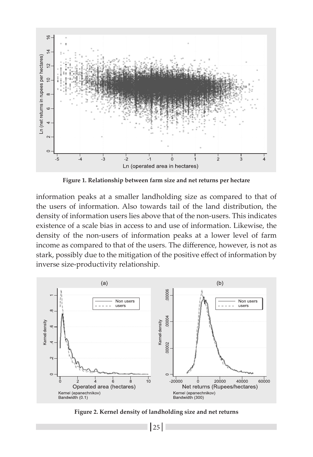

**Figure 1. Relationship between farm size and net returns per hectare**

information peaks at a smaller landholding size as compared to that of the users of information. Also towards tail of the land distribution, the density of information users lies above that of the non-users. This indicates existence of a scale bias in access to and use of information. Likewise, the density of the non-users of information peaks at a lower level of farm income as compared to that of the users. The difference, however, is not as stark, possibly due to the mitigation of the positive effect of information by inverse size-productivity relationship.



**Figure 2. Kernel density of landholding size and net returns**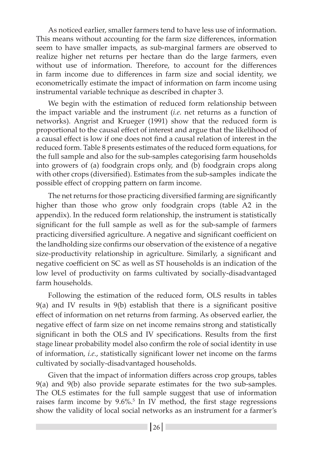As noticed earlier, smaller farmers tend to have less use of information. This means without accounting for the farm size differences, information seem to have smaller impacts, as sub-marginal farmers are observed to realize higher net returns per hectare than do the large farmers, even without use of information. Therefore, to account for the differences in farm income due to differences in farm size and social identity, we econometrically estimate the impact of information on farm income using instrumental variable technique as described in chapter 3.

We begin with the estimation of reduced form relationship between the impact variable and the instrument (*i.e.* net returns as a function of networks). Angrist and Krueger (1991) show that the reduced form is proportional to the causal effect of interest and argue that the likelihood of a causal effect is low if one does not find a causal relation of interest in the reduced form. Table 8 presents estimates of the reduced form equations, for the full sample and also for the sub-samples categorising farm households into growers of (a) foodgrain crops only, and (b) foodgrain crops along with other crops (diversified). Estimates from the sub-samples indicate the possible effect of cropping pattern on farm income.

The net returns for those practicing diversified farming are significantly higher than those who grow only foodgrain crops (table A2 in the appendix). In the reduced form relationship, the instrument is statistically significant for the full sample as well as for the sub-sample of farmers practicing diversified agriculture. A negative and significant coefficient on the landholding size confirms our observation of the existence of a negative size-productivity relationship in agriculture. Similarly, a significant and negative coefficient on SC as well as ST households is an indication of the low level of productivity on farms cultivated by socially-disadvantaged farm households.

Following the estimation of the reduced form, OLS results in tables 9(a) and IV results in 9(b) establish that there is a significant positive effect of information on net returns from farming. As observed earlier, the negative effect of farm size on net income remains strong and statistically significant in both the OLS and IV specifications. Results from the first stage linear probability model also confirm the role of social identity in use of information, *i.e.*, statistically significant lower net income on the farms cultivated by socially-disadvantaged households.

Given that the impact of information differs across crop groups, tables 9(a) and 9(b) also provide separate estimates for the two sub-samples. The OLS estimates for the full sample suggest that use of information raises farm income by 9.6%.<sup>5</sup> In IV method, the first stage regressions show the validity of local social networks as an instrument for a farmer's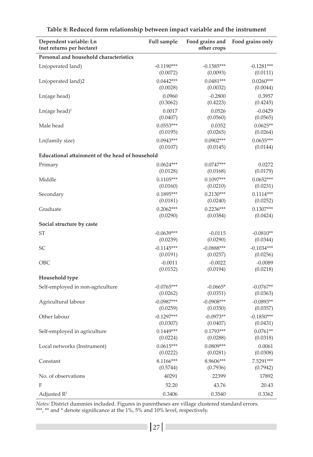| Dependent variable: Ln<br>(net returns per hectare) | Full sample  | Food grains and<br>other crops | Food grains only |
|-----------------------------------------------------|--------------|--------------------------------|------------------|
| Personal and household characteristics              |              |                                |                  |
| Ln(operated land)                                   | $-0.1190***$ | $-0.1585***$                   | $-0.1281***$     |
|                                                     | (0.0072)     | (0.0093)                       | (0.0111)         |
| Ln(operated land)2                                  | $0.0442***$  | $0.0481***$                    | $0.0260***$      |
|                                                     | (0.0028)     | (0.0032)                       | (0.0044)         |
| Ln(age head)                                        | 0.0960       | $-0.2800$                      | 0.3957           |
|                                                     | (0.3062)     | (0.4223)                       | (0.4245)         |
| $Ln(age head)^2$                                    | 0.0017       | 0.0526                         | $-0.0429$        |
|                                                     | (0.0407)     | (0.0560)                       | (0.0565)         |
| Male head                                           | $0.0553***$  | 0.0352                         | $0.0625**$       |
|                                                     | (0.0195)     | (0.0265)                       | (0.0264)         |
| Ln(family size)                                     | $0.0943***$  | $0.0902***$                    | $0.0655***$      |
|                                                     | (0.0107)     | (0.0145)                       | (0.0144)         |
| Educational attainment of the head of household     |              |                                |                  |
| Primary                                             | $0.0624***$  | $0.0747***$                    | 0.0272           |
|                                                     | (0.0128)     | (0.0168)                       | (0.0179)         |
| Middle                                              | $0.1105***$  | $0.1097***$                    | $0.0652***$      |
|                                                     | (0.0160)     | (0.0210)                       | (0.0231)         |
| Secondary                                           | $0.1895***$  | $0.2130***$                    | $0.1114***$      |
|                                                     | (0.0181)     | (0.0240)                       | (0.0252)         |
| Graduate                                            | $0.2062***$  | $0.2236***$                    | $0.1307***$      |
|                                                     | (0.0290)     | (0.0384)                       | (0.0424)         |
| Social structure by caste                           |              |                                |                  |
| ST                                                  | $-0.0639***$ | $-0.0115$                      | $-0.0810**$      |
|                                                     | (0.0239)     | (0.0290)                       | (0.0344)         |
| SС                                                  | $-0.1145***$ | $-0.0888***$                   | $-0.1034***$     |
|                                                     | (0.0191)     | (0.0257)                       | (0.0256)         |
| OBC                                                 | $-0.0011$    | $-0.0022$                      | $-0.0089$        |
|                                                     | (0.0152)     | (0.0194)                       | (0.0218)         |
| Household type                                      |              |                                |                  |
| Self-employed in non-agriculture                    | $-0.0765***$ | $-0.0665*$                     | $-0.0767**$      |
|                                                     | (0.0262)     | (0.0351)                       | (0.0363)         |
| Agricultural labour                                 | $-0.0987***$ | $-0.0908***$                   | $-0.0893**$      |
|                                                     | (0.0259)     | (0.0350)                       | (0.0357)         |
| Other labour                                        | $-0.1297***$ | $-0.0973**$                    | $-0.1850***$     |
|                                                     | (0.0307)     | (0.0407)                       | (0.0431)         |
| Self-employed in agriculture                        | $0.1449***$  | $0.1793***$                    | $0.0761**$       |
|                                                     | (0.0224)     | (0.0288)                       | (0.0318)         |
| Local networks (Instrument)                         | $0.0615***$  | $0.0809***$                    | 0.0061           |
|                                                     | (0.0222)     | (0.0281)                       | (0.0308)         |
| Constant                                            | 8.1166***    | 8.9606***                      | 7.5291***        |
|                                                     | (0.5744)     | (0.7936)                       | (0.7942)         |
| No. of observations                                 | 40291        | 22399                          | 17892            |
| F                                                   | 52.20        | 43.76                          | 20.43            |
| Adjusted $R^2$                                      | 0.3406       | 0.3540                         | 0.3362           |

*Notes:* District dummies included. Figures in parentheses are village clustered standard errors. \*\*\*, \*\* and \* denote significance at the 1%, 5% and 10% level, respectively.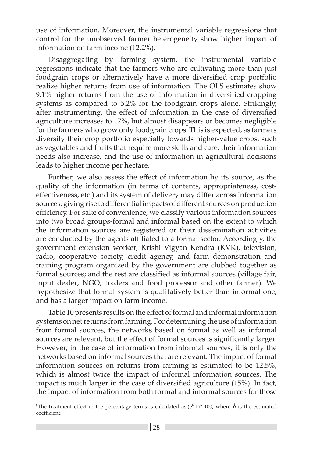use of information. Moreover, the instrumental variable regressions that control for the unobserved farmer heterogeneity show higher impact of information on farm income (12.2%).

Disaggregating by farming system, the instrumental variable regressions indicate that the farmers who are cultivating more than just foodgrain crops or alternatively have a more diversified crop portfolio realize higher returns from use of information. The OLS estimates show 9.1% higher returns from the use of information in diversified cropping systems as compared to 5.2% for the foodgrain crops alone. Strikingly, after instrumenting, the effect of information in the case of diversified agriculture increases to 17%, but almost disappears or becomes negligible for the farmers who grow only foodgrain crops. This is expected, as farmers diversify their crop portfolio especially towards higher-value crops, such as vegetables and fruits that require more skills and care, their information needs also increase, and the use of information in agricultural decisions leads to higher income per hectare.

Further, we also assess the effect of information by its source, as the quality of the information (in terms of contents, appropriateness, costeffectiveness, etc.) and its system of delivery may differ across information sources, giving rise to differential impacts of different sources on production efficiency. For sake of convenience, we classify various information sources into two broad groups-formal and informal based on the extent to which the information sources are registered or their dissemination activities are conducted by the agents affiliated to a formal sector. Accordingly, the government extension worker, Krishi Vigyan Kendra (KVK), television, radio, cooperative society, credit agency, and farm demonstration and training program organized by the government are clubbed together as formal sources; and the rest are classified as informal sources (village fair, input dealer, NGO, traders and food processor and other farmer). We hypothesize that formal system is qualitatively better than informal one, and has a larger impact on farm income.

Table 10 presents results on the effect of formal and informal information systems on net returns from farming. For determining the use of information from formal sources, the networks based on formal as well as informal sources are relevant, but the effect of formal sources is significantly larger. However, in the case of information from informal sources, it is only the networks based on informal sources that are relevant. The impact of formal information sources on returns from farming is estimated to be 12.5%, which is almost twice the impact of informal information sources. The impact is much larger in the case of diversified agriculture (15%). In fact, the impact of information from both formal and informal sources for those

<sup>&</sup>lt;sup>5</sup>The treatment effect in the percentage terms is calculated as: $(e^{z} - 1)^*$  100, where  $\delta$  is the estimated coefficient.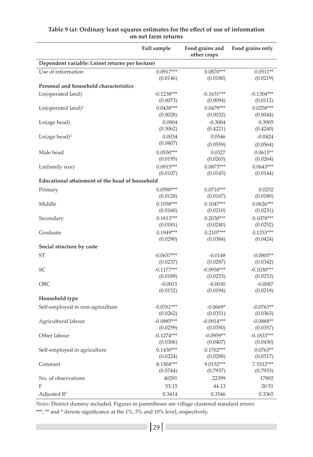|                                                 | Full sample              | Food grains and<br>other crops | Food grains only         |
|-------------------------------------------------|--------------------------|--------------------------------|--------------------------|
| Dependent variable: Ln(net returns per hectare) |                          |                                |                          |
| Use of information                              | $0.0917***$<br>(0.0146)  | $0.0870***$<br>(0.0180)        | $0.0511**$<br>(0.0219)   |
| Personal and household characteristics          |                          |                                |                          |
| Ln(operated land)                               | $-0.1238***$<br>(0.0073) | $-0.1631***$<br>(0.0094)       | $-0.1304***$<br>(0.0112) |
| $Ln$ (operated land) <sup>2</sup>               | $0.0438***$<br>(0.0028)  | $0.0479***$<br>(0.0032)        | $0.0258***$<br>(0.0044)  |
| Ln(age head)                                    | 0.0804<br>(0.3062)       | $-0.3004$<br>(0.4221)          | 0.3905<br>(0.4240)       |
| $Ln(age head)^2$                                | 0.0034<br>(0.0407)       | 0.0546<br>(0.0559)             | $-0.0424$<br>(0.0564)    |
| Male head                                       | $0.0530***$<br>(0.0195)  | 0.0327<br>(0.0265)             | $0.0615**$<br>(0.0264)   |
| Ln(family size)                                 | $0.0915***$<br>(0.0107)  | $0.0873***$<br>(0.0145)        | $0.0643***$<br>(0.0144)  |
| Educational attainment of the head of household |                          |                                |                          |
| Primary                                         | $0.0590***$              | $0.0710***$                    | 0.0252                   |
|                                                 | (0.0128)                 | (0.0167)                       | (0.0180)                 |
| Middle                                          | $0.1058***$              | $0.1047***$                    | $0.0626***$              |
|                                                 | (0.0160)                 | (0.0210)                       | (0.0231)                 |
| Secondary                                       | $0.1813***$              | $0.2030***$                    | $0.1078***$              |
|                                                 | (0.0181)                 | (0.0240)                       | (0.0252)                 |
| Graduate                                        | $0.1949***$              | $0.2107***$<br>(0.0384)        | $0.1253***$<br>(0.0424)  |
| Social structure by caste                       | (0.0290)                 |                                |                          |
| <b>ST</b>                                       | $-0.0657***$             | $-0.0148$                      | $-0.0805**$              |
|                                                 | (0.0237)                 | (0.0287)                       | (0.0342)                 |
| SС                                              | $-0.1177***$             | $-0.0938***$                   | $-0.1030***$             |
|                                                 | (0.0189)                 | (0.0255)                       | (0.0253)                 |
| OBC                                             | $-0.0015$<br>(0.0152)    | $-0.0030$<br>(0.0194)          | $-0.0087$<br>(0.0218)    |
| Household type                                  |                          |                                |                          |
| Self-employed in non-agriculture                | $-0.0761***$             | $-0.0669*$                     | $-0.0763**$              |
|                                                 | (0.0262)                 | (0.0351)                       | (0.0363)                 |
| Agricultural labour                             | $-0.0985***$             | $-0.0914***$                   | $-0.0888**$              |
|                                                 | (0.0259)                 | (0.0350)                       | (0.0357)                 |
| Other labour                                    | $-0.1274***$             | $-0.0959**$                    | $-0.1833***$             |
|                                                 | (0.0306)                 | (0.0407)                       | (0.0430)                 |
| Self-employed in agriculture                    | $0.1430***$              | $0.1762***$                    | $0.0763**$               |
|                                                 | (0.0224)                 | (0.0288)                       | (0.0317)                 |
| Constant                                        | 8.1504***<br>(0.5744)    | 9.0152***<br>(0.7937)          | 7.5312***<br>(0.7933)    |
| No. of observations                             | 40291                    | 22399                          | 17892                    |
| F                                               | 53.15                    | 44.13                          | 20.51                    |
| Adjusted $R^2$                                  | 0.3414                   | 0.3546                         | 0.3365                   |

#### **Table 9 (a): Ordinary least squares estimates for the effect of use of information on net farm returns**

*Notes:* District dummy included. Figures in parentheses are village clustered standard errors.

\*\*\*, \*\* and \* denote significance at the 1%, 5% and 10% level, respectively.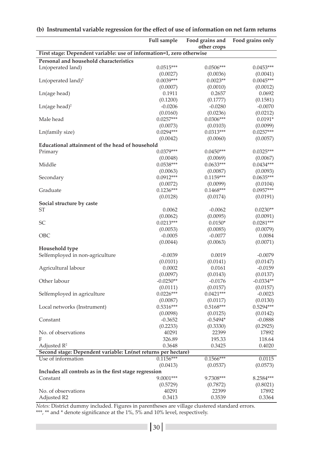|                                                                       | Full sample        | Food grains and<br>other crops | Food grains only        |
|-----------------------------------------------------------------------|--------------------|--------------------------------|-------------------------|
| First stage: Dependent variable: use of information=1, zero otherwise |                    |                                |                         |
| Personal and household characteristics                                |                    |                                |                         |
| Ln(operated land)                                                     | $0.0515***$        | $0.0506***$                    | $0.0453***$             |
|                                                                       | (0.0027)           | (0.0036)                       | (0.0041)                |
| $Ln$ (operated land) <sup>2</sup>                                     | $0.0039***$        | $0.0023**$                     | $0.0045***$             |
|                                                                       | (0.0007)           | (0.0010)                       | (0.0012)                |
| Ln(age head)                                                          | 0.1911             | 0.2657                         | 0.0692                  |
|                                                                       | (0.1200)           | (0.1777)                       | (0.1581)                |
| $Ln(age head)^2$                                                      | $-0.0206$          | $-0.0280$                      | $-0.0070$               |
|                                                                       | (0.0160)           | (0.0236)                       | (0.0212)                |
| Male head                                                             | $0.0257***$        | $0.0306***$                    | $0.0191*$               |
|                                                                       | (0.0073)           | (0.0103)                       | (0.0099)                |
| Ln(family size)                                                       | $0.0294***$        | $0.0313***$                    | $0.0257***$             |
|                                                                       | (0.0042)           | (0.0060)                       | (0.0057)                |
| Educational attainment of the head of household                       |                    |                                |                         |
| Primary                                                               | $0.0379***$        | $0.0450***$                    | $0.0325***$             |
|                                                                       | (0.0048)           | (0.0069)                       | (0.0067)                |
| Middle                                                                | 0.0538***          | $0.0633***$                    | $0.0434***$             |
|                                                                       | (0.0063)           | (0.0087)                       | (0.0093)                |
| Secondary                                                             | $0.0912***$        | $0.1159***$                    | $0.0635***$             |
|                                                                       | (0.0072)           | (0.0099)                       | (0.0104)                |
| Graduate                                                              | $0.1236***$        | $0.1468***$                    | 0.0957***               |
|                                                                       | (0.0128)           | (0.0174)                       | (0.0191)                |
| Social structure by caste                                             |                    |                                |                         |
| ST                                                                    | 0.0062<br>(0.0062) | $-0.0062$                      | $0.0230**$              |
| SC                                                                    | $0.0213***$        | (0.0095)<br>$0.0150*$          | (0.0091)<br>$0.0281***$ |
|                                                                       | (0.0053)           | (0.0085)                       | (0.0079)                |
| OBC                                                                   | $-0.0005$          | $-0.0077$                      | 0.0084                  |
|                                                                       | (0.0044)           | (0.0063)                       | (0.0071)                |
| Household type                                                        |                    |                                |                         |
| Selfemployed in non-agriculture                                       | $-0.0039$          | 0.0019                         | $-0.0079$               |
|                                                                       | (0.0101)           | (0.0141)                       | (0.0147)                |
| Agricultural labour                                                   | 0.0002             | 0.0161                         | $-0.0159$               |
|                                                                       | (0.0097)           | (0.0143)                       | (0.0137)                |
| Other labour                                                          | $-0.0250**$        | $-0.0176$                      | $-0.0334**$             |
|                                                                       | (0.0111)           | (0.0157)                       | (0.0157)                |
| Selfemployed in agriculture                                           | $0.0226***$        | $0.0421***$                    | $-0.0023$               |
|                                                                       | (0.0087)           | (0.0117)                       | (0.0130)                |
| Local networks (Instrument)                                           | $0.5316***$        | $0.5168***$                    | $0.5294***$             |
|                                                                       | (0.0098)           | (0.0125)                       | (0.0142)                |
| Constant                                                              | $-0.3652$          | $-0.5494*$                     | $-0.0888$               |
|                                                                       | (0.2233)           | (0.3330)                       | (0.2925)                |
| No. of observations                                                   | 40291              | 22399                          | 17892                   |
| F                                                                     | 326.89             | 195.33                         | 118.64                  |
| Adjusted $\mathbb{R}^2$                                               | 0.3648             | 0.3425                         | 0.4020                  |
| Second stage: Dependent variable: Ln(net returns per hectare)         |                    |                                |                         |
| Use of information                                                    | $0.1156***$        | $0.1566***$                    | 0.0115                  |
|                                                                       | (0.0413)           | (0.0537)                       | (0.0573)                |
| Includes all controls as in the first stage regression                |                    |                                |                         |
| Constant                                                              | 9.0001***          | 9.7308***                      | 8.2584***               |
| No. of observations                                                   | (0.5729)<br>40291  | (0.7872)<br>22399              | (0.8021)<br>17892       |
| Adjusted R2                                                           | 0.3413             | 0.3539                         | 0.3364                  |
|                                                                       |                    |                                |                         |

#### **(b) Instrumental variable regression for the effect of use of information on net farm returns**

*Notes:* District dummy included. Figures in parentheses are village clustered standard errors. \*\*\*, \*\* and \* denote significance at the 1%, 5% and 10% level, respectively.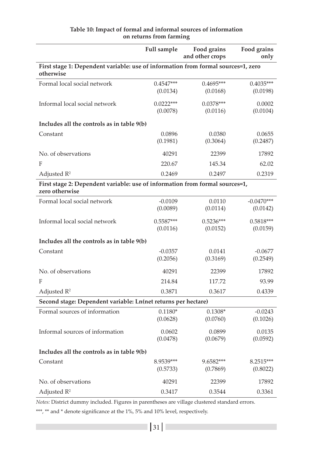|                                                                                                | <b>Full sample</b> | Food grains<br>and other crops | Food grains<br>only |
|------------------------------------------------------------------------------------------------|--------------------|--------------------------------|---------------------|
| First stage 1: Dependent variable: use of information from formal sources=1, zero<br>otherwise |                    |                                |                     |
| Formal local social network                                                                    | $0.4547***$        | $0.4695***$                    | $0.4035***$         |
|                                                                                                | (0.0134)           | (0.0168)                       | (0.0198)            |
| Informal local social network                                                                  | $0.0222***$        | $0.0378***$                    | 0.0002              |
|                                                                                                | (0.0078)           | (0.0116)                       | (0.0104)            |
| Includes all the controls as in table 9(b)                                                     |                    |                                |                     |
| Constant                                                                                       | 0.0896             | 0.0380                         | 0.0655              |
|                                                                                                | (0.1981)           | (0.3064)                       | (0.2487)            |
| No. of observations                                                                            | 40291              | 22399                          | 17892               |
| F                                                                                              | 220.67             | 145.34                         | 62.02               |
| Adjusted $R^2$                                                                                 | 0.2469             | 0.2497                         | 0.2319              |
| First stage 2: Dependent variable: use of information from formal sources=1,                   |                    |                                |                     |
| zero otherwise                                                                                 |                    |                                |                     |
| Formal local social network                                                                    | $-0.0109$          | 0.0110                         | $-0.0470***$        |
|                                                                                                | (0.0089)           | (0.0114)                       | (0.0142)            |
| Informal local social network                                                                  | $0.5587***$        | $0.5236***$                    | $0.5818***$         |
|                                                                                                | (0.0116)           | (0.0152)                       | (0.0159)            |
| Includes all the controls as in table 9(b)                                                     |                    |                                |                     |
| Constant                                                                                       | $-0.0357$          | 0.0141                         | $-0.0677$           |
|                                                                                                | (0.2056)           | (0.3169)                       | (0.2549)            |
| No. of observations                                                                            | 40291              | 22399                          | 17892               |
| F                                                                                              | 214.84             | 117.72                         | 93.99               |
| Adjusted $R^2$                                                                                 | 0.3871             | 0.3617                         | 0.4339              |
| Second stage: Dependent variable: Ln(net returns per hectare)                                  |                    |                                |                     |
| Formal sources of information                                                                  | $0.1180*$          | $0.1308*$                      | $-0.0243$           |
|                                                                                                | (0.0628)           | (0.0760)                       | (0.1026)            |
| Informal sources of information                                                                | 0.0602             | 0.0899                         | 0.0135              |
|                                                                                                | (0.0478)           | (0.0679)                       | (0.0592)            |
| Includes all the controls as in table 9(b)                                                     |                    |                                |                     |
| Constant                                                                                       | 8.9539***          | 9.6582***                      | 8.2515***           |
|                                                                                                | (0.5733)           | (0.7869)                       | (0.8022)            |
| No. of observations                                                                            | 40291              | 22399                          | 17892               |
| Adjusted $R^2$                                                                                 | 0.3417             | 0.3544                         | 0.3361              |

#### **Table 10: Impact of formal and informal sources of information on returns from farming**

*Notes:* District dummy included. Figures in parentheses are village clustered standard errors.

\*\*\*, \*\* and \* denote significance at the 1%, 5% and 10% level, respectively.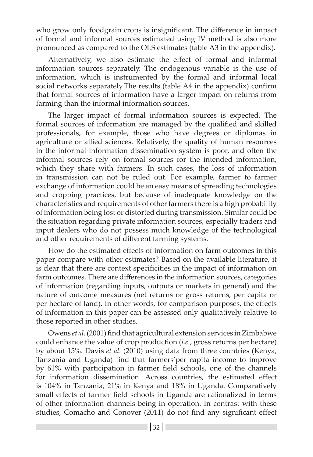who grow only foodgrain crops is insignificant. The difference in impact of formal and informal sources estimated using IV method is also more pronounced as compared to the OLS estimates (table A3 in the appendix).

Alternatively, we also estimate the effect of formal and informal information sources separately. The endogenous variable is the use of information, which is instrumented by the formal and informal local social networks separately.The results (table A4 in the appendix) confirm that formal sources of information have a larger impact on returns from farming than the informal information sources.

The larger impact of formal information sources is expected. The formal sources of information are managed by the qualified and skilled professionals, for example, those who have degrees or diplomas in agriculture or allied sciences. Relatively, the quality of human resources in the informal information dissemination system is poor, and often the informal sources rely on formal sources for the intended information, which they share with farmers. In such cases, the loss of information in transmission can not be ruled out. For example, farmer to farmer exchange of information could be an easy means of spreading technologies and cropping practices, but because of inadequate knowledge on the characteristics and requirements of other farmers there is a high probability of information being lost or distorted during transmission. Similar could be the situation regarding private information sources, especially traders and input dealers who do not possess much knowledge of the technological and other requirements of different farming systems.

How do the estimated effects of information on farm outcomes in this paper compare with other estimates? Based on the available literature, it is clear that there are context specificities in the impact of information on farm outcomes. There are differences in the information sources, categories of information (regarding inputs, outputs or markets in general) and the nature of outcome measures (net returns or gross returns, per capita or per hectare of land). In other words, for comparison purposes, the effects of information in this paper can be assessed only qualitatively relative to those reported in other studies.

Owens *et al.* (2001) find that agricultural extension services in Zimbabwe could enhance the value of crop production (*i.e.*, gross returns per hectare) by about 15%. Davis *et al.* (2010) using data from three countries (Kenya, Tanzania and Uganda) find that farmers'per capita income to improve by 61% with participation in farmer field schools, one of the channels for information dissemination. Across countries, the estimated effect is 104% in Tanzania, 21% in Kenya and 18% in Uganda. Comparatively small effects of farmer field schools in Uganda are rationalized in terms of other information channels being in operation. In contrast with these studies, Comacho and Conover (2011) do not find any significant effect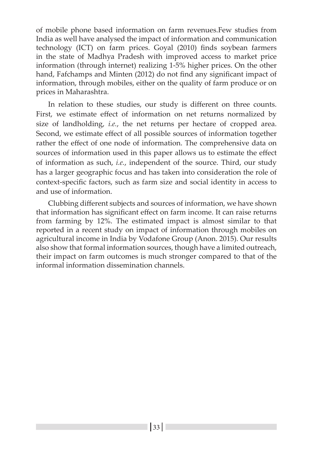of mobile phone based information on farm revenues.Few studies from India as well have analysed the impact of information and communication technology (ICT) on farm prices. Goyal (2010) finds soybean farmers in the state of Madhya Pradesh with improved access to market price information (through internet) realizing 1-5% higher prices. On the other hand, Fafchamps and Minten (2012) do not find any significant impact of information, through mobiles, either on the quality of farm produce or on prices in Maharashtra.

In relation to these studies, our study is different on three counts. First, we estimate effect of information on net returns normalized by size of landholding, *i.e.*, the net returns per hectare of cropped area. Second, we estimate effect of all possible sources of information together rather the effect of one node of information. The comprehensive data on sources of information used in this paper allows us to estimate the effect of information as such, *i.e.*, independent of the source. Third, our study has a larger geographic focus and has taken into consideration the role of context-specific factors, such as farm size and social identity in access to and use of information.

Clubbing different subjects and sources of information, we have shown that information has significant effect on farm income. It can raise returns from farming by 12%. The estimated impact is almost similar to that reported in a recent study on impact of information through mobiles on agricultural income in India by Vodafone Group (Anon. 2015). Our results also show that formal information sources, though have a limited outreach, their impact on farm outcomes is much stronger compared to that of the informal information dissemination channels.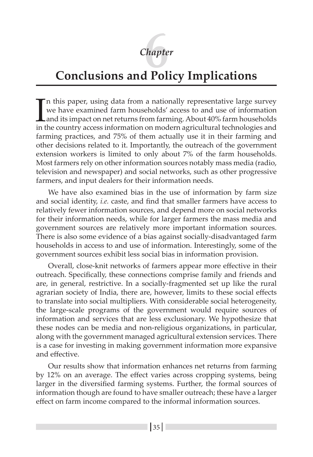# *Chapter* **6**

# **Conclusions and Policy Implications**

In this paper, using data from a nationally representative large survey we have examined farm households' access to and use of information and its impact on net returns from farming. About 40% farm households in the countr n this paper, using data from a nationally representative large survey we have examined farm households' access to and use of information and its impact on net returns from farming. About 40% farm households farming practices, and 75% of them actually use it in their farming and other decisions related to it. Importantly, the outreach of the government extension workers is limited to only about 7% of the farm households. Most farmers rely on other information sources notably mass media (radio, television and newspaper) and social networks, such as other progressive farmers, and input dealers for their information needs.

We have also examined bias in the use of information by farm size and social identity, *i.e.* caste, and find that smaller farmers have access to relatively fewer information sources, and depend more on social networks for their information needs, while for larger farmers the mass media and government sources are relatively more important information sources. There is also some evidence of a bias against socially-disadvantaged farm households in access to and use of information. Interestingly, some of the government sources exhibit less social bias in information provision.

Overall, close-knit networks of farmers appear more effective in their outreach. Specifically, these connections comprise family and friends and are, in general, restrictive. In a socially-fragmented set up like the rural agrarian society of India, there are, however, limits to these social effects to translate into social multipliers. With considerable social heterogeneity, the large-scale programs of the government would require sources of information and services that are less exclusionary. We hypothesize that these nodes can be media and non-religious organizations, in particular, along with the government managed agricultural extension services. There is a case for investing in making government information more expansive and effective.

Our results show that information enhances net returns from farming by 12% on an average. The effect varies across cropping systems, being larger in the diversified farming systems. Further, the formal sources of information though are found to have smaller outreach; these have a larger effect on farm income compared to the informal information sources.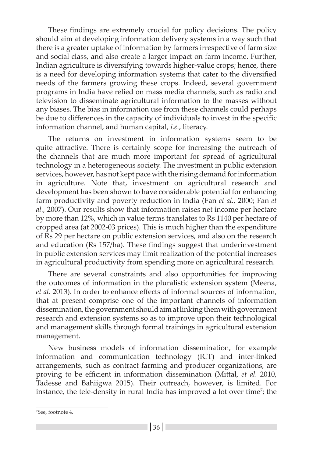These findings are extremely crucial for policy decisions. The policy should aim at developing information delivery systems in a way such that there is a greater uptake of information by farmers irrespective of farm size and social class, and also create a larger impact on farm income. Further, Indian agriculture is diversifying towards higher-value crops; hence, there is a need for developing information systems that cater to the diversified needs of the farmers growing these crops. Indeed, several government programs in India have relied on mass media channels, such as radio and television to disseminate agricultural information to the masses without any biases. The bias in information use from these channels could perhaps be due to differences in the capacity of individuals to invest in the specific information channel, and human capital, *i.e.*, literacy.

The returns on investment in information systems seem to be quite attractive. There is certainly scope for increasing the outreach of the channels that are much more important for spread of agricultural technology in a heterogeneous society. The investment in public extension services, however, has not kept pace with the rising demand for information in agriculture. Note that, investment on agricultural research and development has been shown to have considerable potential for enhancing farm productivity and poverty reduction in India (Fan *et al.,* 2000; Fan *et al.,* 2007). Our results show that information raises net income per hectare by more than 12%, which in value terms translates to Rs 1140 per hectare of cropped area (at 2002-03 prices). This is much higher than the expenditure of Rs 29 per hectare on public extension services, and also on the research and education (Rs 157/ha). These findings suggest that underinvestment in public extension services may limit realization of the potential increases in agricultural productivity from spending more on agricultural research.

There are several constraints and also opportunities for improving the outcomes of information in the pluralistic extension system (Meena, *et al*. 2013). In order to enhance effects of informal sources of information, that at present comprise one of the important channels of information dissemination, the government should aim at linking them with government research and extension systems so as to improve upon their technological and management skills through formal trainings in agricultural extension management.

New business models of information dissemination, for example information and communication technology (ICT) and inter-linked arrangements, such as contract farming and producer organizations, are proving to be efficient in information dissemination (Mittal, *et al.* 2010, Tadesse and Bahiigwa 2015). Their outreach, however, is limited. For instance, the tele-density in rural India has improved a lot over time<sup>7</sup>; the

<sup>7</sup> See, footnote 4.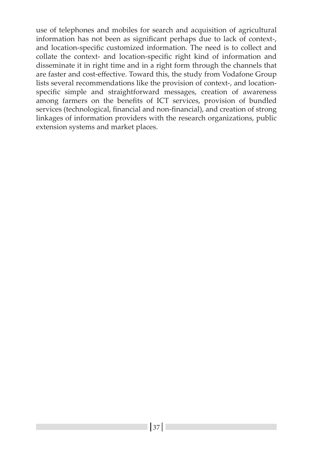use of telephones and mobiles for search and acquisition of agricultural information has not been as significant perhaps due to lack of context-, and location-specific customized information. The need is to collect and collate the context- and location-specific right kind of information and disseminate it in right time and in a right form through the channels that are faster and cost-effective. Toward this, the study from Vodafone Group lists several recommendations like the provision of context-, and locationspecific simple and straightforward messages, creation of awareness among farmers on the benefits of ICT services, provision of bundled services (technological, financial and non-financial), and creation of strong linkages of information providers with the research organizations, public extension systems and market places.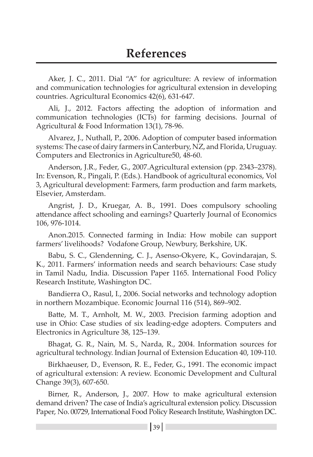Aker, J. C., 2011. Dial "A" for agriculture: A review of information and communication technologies for agricultural extension in developing countries. Agricultural Economics 42(6), 631-647.

Ali, J., 2012. Factors affecting the adoption of information and communication technologies (ICTs) for farming decisions. Journal of Agricultural & Food Information 13(1), 78-96.

Alvarez, J., Nuthall, P., 2006. Adoption of computer based information systems: The case of dairy farmers in Canterbury, NZ, and Florida, Uruguay. Computers and Electronics in Agriculture50, 48-60.

Anderson, J.R., Feder, G., 2007.Agricultural extension (pp. 2343–2378). In: Evenson, R., Pingali, P. (Eds.). Handbook of agricultural economics, Vol 3, Agricultural development: Farmers, farm production and farm markets, Elsevier, Amsterdam.

Angrist, J. D., Kruegar, A. B., 1991. Does compulsory schooling attendance affect schooling and earnings? Quarterly Journal of Economics 106, 976-1014.

Anon.2015. Connected farming in India: How mobile can support farmers' livelihoods? Vodafone Group, Newbury, Berkshire, UK.

Babu, S. C., Glendenning, C. J., Asenso-Okyere, K., Govindarajan, S. K., 2011. Farmers' information needs and search behaviours: Case study in Tamil Nadu, India. Discussion Paper 1165. International Food Policy Research Institute, Washington DC.

Bandierra O., Rasul, I., 2006. Social networks and technology adoption in northern Mozambique. Economic Journal 116 (514), 869–902.

Batte, M. T., Arnholt, M. W., 2003. Precision farming adoption and use in Ohio: Case studies of six leading-edge adopters. Computers and Electronics in Agriculture 38, 125–139.

Bhagat, G. R., Nain, M. S., Narda, R., 2004. Information sources for agricultural technology. Indian Journal of Extension Education 40, 109-110.

Birkhaeuser, D., Evenson, R. E., Feder, G., 1991. The economic impact of agricultural extension: A review. Economic Development and Cultural Change 39(3), 607-650.

Birner, R., Anderson, J., 2007. How to make agricultural extension demand driven? The case of India's agricultural extension policy. Discussion Paper, No. 00729, International Food Policy Research Institute, Washington DC.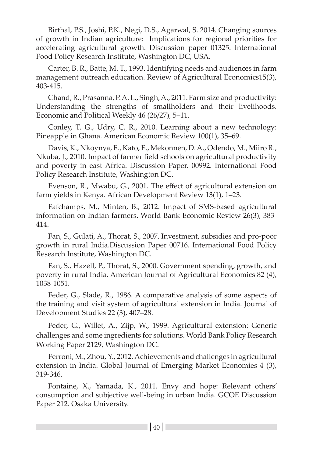Birthal, P.S., Joshi, P.K., Negi, D.S., Agarwal, S. 2014. Changing sources of growth in Indian agriculture: Implications for regional priorities for accelerating agricultural growth. Discussion paper 01325. International Food Policy Research Institute, Washington DC, USA.

Carter, B. R., Batte, M. T., 1993. Identifying needs and audiences in farm management outreach education. Review of Agricultural Economics15(3), 403-415.

Chand, R., Prasanna, P. A. L., Singh, A., 2011. Farm size and productivity: Understanding the strengths of smallholders and their livelihoods. Economic and Political Weekly 46 (26/27), 5–11.

Conley, T. G., Udry, C. R., 2010. Learning about a new technology: Pineapple in Ghana. American Economic Review 100(1), 35–69.

Davis, K., Nkoynya, E., Kato, E., Mekonnen, D. A., Odendo, M., Miiro R., Nkuba, J., 2010. Impact of farmer field schools on agricultural productivity and poverty in east Africa. Discussion Paper. 00992. International Food Policy Research Institute, Washington DC.

Evenson, R., Mwabu, G., 2001. The effect of agricultural extension on farm yields in Kenya. African Development Review 13(1), 1–23.

Fafchamps, M., Minten, B., 2012. Impact of SMS-based agricultural information on Indian farmers. World Bank Economic Review 26(3), 383- 414.

Fan, S., Gulati, A., Thorat, S., 2007. Investment, subsidies and pro-poor growth in rural India.Discussion Paper 00716. International Food Policy Research Institute, Washington DC.

Fan, S., Hazell, P., Thorat, S., 2000. Government spending, growth, and poverty in rural India. American Journal of Agricultural Economics 82 (4), 1038-1051.

Feder, G., Slade, R., 1986. A comparative analysis of some aspects of the training and visit system of agricultural extension in India. Journal of Development Studies 22 (3), 407–28.

Feder, G., Willet, A., Zijp, W., 1999. Agricultural extension: Generic challenges and some ingredients for solutions. World Bank Policy Research Working Paper 2129, Washington DC.

Ferroni, M., Zhou, Y., 2012. Achievements and challenges in agricultural extension in India. Global Journal of Emerging Market Economies 4 (3), 319-346.

Fontaine, X., Yamada, K., 2011. Envy and hope: Relevant others' consumption and subjective well-being in urban India. GCOE Discussion Paper 212. Osaka University.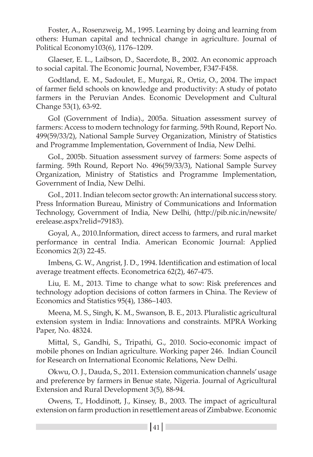Foster, A., Rosenzweig, M., 1995. Learning by doing and learning from others: Human capital and technical change in agriculture. Journal of Political Economy103(6), 1176–1209.

Glaeser, E. L., Laibson, D., Sacerdote, B., 2002. An economic approach to social capital. The Economic Journal, November, F347-F458.

Godtland, E. M., Sadoulet, E., Murgai, R., Ortiz, O., 2004. The impact of farmer field schools on knowledge and productivity: A study of potato farmers in the Peruvian Andes. Economic Development and Cultural Change 53(1), 63-92.

GoI (Government of India)., 2005a. Situation assessment survey of farmers: Access to modern technology for farming. 59th Round, Report No. 499(59/33/2), National Sample Survey Organization, Ministry of Statistics and Programme Implementation, Government of India, New Delhi.

GoI., 2005b. Situation assessment survey of farmers: Some aspects of farming. 59th Round, Report No. 496(59/33/3), National Sample Survey Organization, Ministry of Statistics and Programme Implementation, Government of India, New Delhi.

GoI., 2011. Indian telecom sector growth: An international success story. Press Information Bureau, Ministry of Communications and Information Technology, Government of India, New Delhi, (http://pib.nic.in/newsite/ erelease.aspx?relid=79183).

Goyal, A., 2010.Information, direct access to farmers, and rural market performance in central India. American Economic Journal: Applied Economics 2(3) 22-45.

Imbens, G. W., Angrist, J. D., 1994. Identification and estimation of local average treatment effects. Econometrica 62(2), 467-475.

Liu, E. M., 2013. Time to change what to sow: Risk preferences and technology adoption decisions of cotton farmers in China. The Review of Economics and Statistics 95(4), 1386–1403.

Meena, M. S., Singh, K. M., Swanson, B. E., 2013. Pluralistic agricultural extension system in India: Innovations and constraints. MPRA Working Paper, No. 48324.

Mittal, S., Gandhi, S., Tripathi, G., 2010. Socio-economic impact of mobile phones on Indian agriculture. Working paper 246. Indian Council for Research on International Economic Relations, New Delhi.

Okwu, O. J., Dauda, S., 2011. Extension communication channels' usage and preference by farmers in Benue state, Nigeria. Journal of Agricultural Extension and Rural Development 3(5), 88-94.

Owens, T., Hoddinott, J., Kinsey, B., 2003. The impact of agricultural extension on farm production in resettlement areas of Zimbabwe. Economic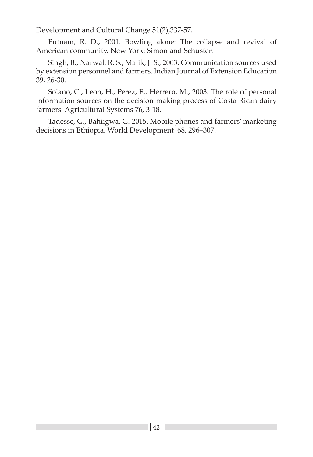Development and Cultural Change 51(2),337-57.

Putnam, R. D., 2001. Bowling alone: The collapse and revival of American community. New York: Simon and Schuster.

Singh, B., Narwal, R. S., Malik, J. S., 2003. Communication sources used by extension personnel and farmers. Indian Journal of Extension Education 39, 26-30.

Solano, C., Leon, H., Perez, E., Herrero, M., 2003. The role of personal information sources on the decision-making process of Costa Rican dairy farmers. Agricultural Systems 76, 3-18.

Tadesse, G., Bahiigwa, G. 2015. Mobile phones and farmers' marketing decisions in Ethiopia. World Development 68, 296–307.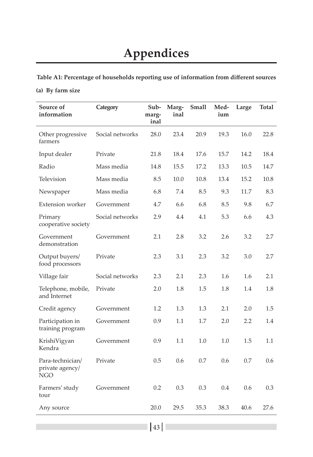# **Appendices**

**Table A1: Percentage of households reporting use of information from different sources** 

#### **(a) By farm size**

| Source of<br>information                          | Category        | Sub-<br>marg-<br>inal | Marg-<br>inal | Small | Med-<br>ium | Large | Total |
|---------------------------------------------------|-----------------|-----------------------|---------------|-------|-------------|-------|-------|
| Other progressive<br>farmers                      | Social networks | 28.0                  | 23.4          | 20.9  | 19.3        | 16.0  | 22.8  |
| Input dealer                                      | Private         | 21.8                  | 18.4          | 17.6  | 15.7        | 14.2  | 18.4  |
| Radio                                             | Mass media      | 14.8                  | 15.5          | 17.2  | 13.3        | 10.5  | 14.7  |
| Television                                        | Mass media      | 8.5                   | 10.0          | 10.8  | 13.4        | 15.2  | 10.8  |
| Newspaper                                         | Mass media      | 6.8                   | 7.4           | 8.5   | 9.3         | 11.7  | 8.3   |
| <b>Extension worker</b>                           | Government      | 4.7                   | 6.6           | 6.8   | 8.5         | 9.8   | 6.7   |
| Primary<br>cooperative society                    | Social networks | 2.9                   | 4.4           | 4.1   | 5.3         | 6.6   | 4.3   |
| Government<br>demonstration                       | Government      | 2.1                   | 2.8           | 3.2   | 2.6         | 3.2   | 2.7   |
| Output buyers/<br>food processors                 | Private         | 2.3                   | 3.1           | 2.3   | 3.2         | 3.0   | 2.7   |
| Village fair                                      | Social networks | 2.3                   | 2.1           | 2.3   | 1.6         | 1.6   | 2.1   |
| Telephone, mobile,<br>and Internet                | Private         | 2.0                   | 1.8           | 1.5   | 1.8         | 1.4   | 1.8   |
| Credit agency                                     | Government      | 1.2                   | 1.3           | 1.3   | 2.1         | 2.0   | 1.5   |
| Participation in<br>training program              | Government      | 0.9                   | 1.1           | 1.7   | 2.0         | 2.2   | 1.4   |
| KrishiVigyan<br>Kendra                            | Government      | 0.9                   | 1.1           | 1.0   | 1.0         | 1.5   | 1.1   |
| Para-technician/<br>private agency/<br><b>NGO</b> | Private         | 0.5                   | 0.6           | 0.7   | 0.6         | 0.7   | 0.6   |
| Farmers' study<br>tour                            | Government      | 0.2                   | 0.3           | 0.3   | 0.4         | 0.6   | 0.3   |
| Any source                                        |                 | 20.0                  | 29.5          | 35.3  | 38.3        | 40.6  | 27.6  |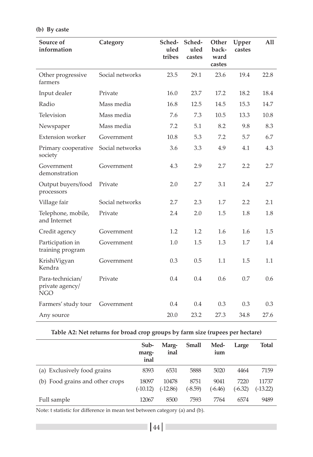| Source of<br>information                          | Category        | Sched-<br>uled<br>tribes | Sched-<br>uled<br>castes | Other<br>back-<br>ward<br>castes | Upper<br>castes | All  |
|---------------------------------------------------|-----------------|--------------------------|--------------------------|----------------------------------|-----------------|------|
| Other progressive<br>farmers                      | Social networks | 23.5                     | 29.1                     | 23.6                             | 19.4            | 22.8 |
| Input dealer                                      | Private         | 16.0                     | 23.7                     | 17.2                             | 18.2            | 18.4 |
| Radio                                             | Mass media      | 16.8                     | 12.5                     | 14.5                             | 15.3            | 14.7 |
| Television                                        | Mass media      | 7.6                      | 7.3                      | 10.5                             | 13.3            | 10.8 |
| Newspaper                                         | Mass media      | 7.2                      | 5.1                      | 8.2                              | 9.8             | 8.3  |
| <b>Extension worker</b>                           | Government      | 10.8                     | 5.3                      | 7.2                              | 5.7             | 6.7  |
| Primary cooperative<br>society                    | Social networks | 3.6                      | 3.3                      | 4.9                              | 4.1             | 4.3  |
| Government<br>demonstration                       | Government      | 4.3                      | 2.9                      | 2.7                              | 2.2             | 2.7  |
| Output buyers/food<br>processors                  | Private         | 2.0                      | 2.7                      | 3.1                              | 2.4             | 2.7  |
| Village fair                                      | Social networks | 2.7                      | 2.3                      | 1.7                              | 2.2             | 2.1  |
| Telephone, mobile,<br>and Internet                | Private         | 2.4                      | 2.0                      | 1.5                              | 1.8             | 1.8  |
| Credit agency                                     | Government      | 1.2                      | 1.2                      | 1.6                              | 1.6             | 1.5  |
| Participation in<br>training program              | Government      | 1.0                      | 1.5                      | 1.3                              | 1.7             | 1.4  |
| KrishiVigyan<br>Kendra                            | Government      | 0.3                      | 0.5                      | 1.1                              | 1.5             | 1.1  |
| Para-technician/<br>private agency/<br><b>NGO</b> | Private         | 0.4                      | 0.4                      | 0.6                              | 0.7             | 0.6  |
| Farmers' study tour                               | Government      | 0.4                      | 0.4                      | 0.3                              | 0.3             | 0.3  |
| Any source                                        |                 | 20.0                     | 23.2                     | 27.3                             | 34.8            | 27.6 |

#### **(b) By caste**

#### **Table A2: Net returns for broad crop groups by farm size (rupees per hectare)**

|                                 | Sub-<br>marg-<br>inal | Marg-<br>inal     | Small             | Med-<br>ium       | Large             | Total               |
|---------------------------------|-----------------------|-------------------|-------------------|-------------------|-------------------|---------------------|
| (a) Exclusively food grains     | 8393                  | 6531              | 5888              | 5020              | 4464              | 7159                |
| (b) Food grains and other crops | 18097<br>$(-10.12)$   | 10478<br>(-12.86) | 8751<br>$(-8.59)$ | 9041<br>$(-6.46)$ | 7220<br>$(-6.32)$ | 11737<br>$(-13.22)$ |
| Full sample                     | 12067                 | 8500              | 7593              | 7764              | 6574              | 9489                |

Note: t statistic for difference in mean test between category (a) and (b).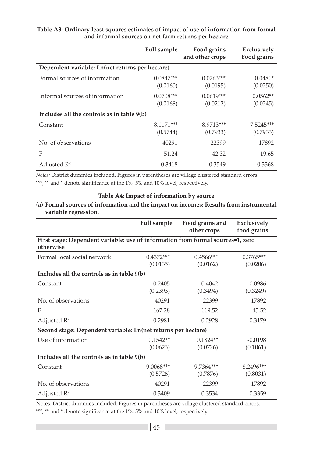|                                                 | <b>Full sample</b>      | Food grains<br>and other crops | Exclusively<br>Food grains |
|-------------------------------------------------|-------------------------|--------------------------------|----------------------------|
| Dependent variable: Ln(net returns per hectare) |                         |                                |                            |
| Formal sources of information                   | $0.0847***$<br>(0.0160) | $0.0763***$<br>(0.0195)        | $0.0481*$<br>(0.0250)      |
| Informal sources of information                 | $0.0708***$<br>(0.0168) | $0.0619***$<br>(0.0212)        | $0.0562**$<br>(0.0245)     |
| Includes all the controls as in table 9(b)      |                         |                                |                            |
| Constant                                        | 8.1171***<br>(0.5744)   | 8.9713***<br>(0.7933)          | $7.5245***$<br>(0.7933)    |
| No. of observations                             | 40291                   | 22399                          | 17892                      |
| F                                               | 51.24                   | 42.32                          | 19.65                      |
| Adjusted $\mathbb{R}^2$                         | 0.3418                  | 0.3549                         | 0.3368                     |

#### **Table A3: Ordinary least squares estimates of impact of use of information from formal and informal sources on net farm returns per hectare**

*Notes:* District dummies included. Figures in parentheses are village clustered standard errors.

\*\*\*, \*\* and \* denote significance at the 1%, 5% and 10% level, respectively.

#### **Table A4: Impact of information by source**

#### **(a) Formal sources of information and the impact on incomes: Results from instrumental variable regression.**

|                                                                                              | Full sample             | Food grains and<br>other crops | Exclusively<br>food grains |
|----------------------------------------------------------------------------------------------|-------------------------|--------------------------------|----------------------------|
| First stage: Dependent variable: use of information from formal sources=1, zero<br>otherwise |                         |                                |                            |
| Formal local social network                                                                  | $0.4372***$<br>(0.0135) | $0.4566***$<br>(0.0162)        | $0.3765***$<br>(0.0206)    |
| Includes all the controls as in table 9(b)                                                   |                         |                                |                            |
| Constant                                                                                     | $-0.2405$<br>(0.2393)   | $-0.4042$<br>(0.3494)          | 0.0986<br>(0.3249)         |
| No. of observations                                                                          | 40291                   | 22399                          | 17892                      |
| F                                                                                            | 167.28                  | 119.52                         | 45.52                      |
| Adjusted $\mathbb{R}^2$                                                                      | 0.2981                  | 0.2928                         | 0.3179                     |
| Second stage: Dependent variable: Ln(net returns per hectare)                                |                         |                                |                            |
| Use of information                                                                           | $0.1542**$<br>(0.0623)  | $0.1824**$<br>(0.0726)         | $-0.0198$<br>(0.1061)      |
| Includes all the controls as in table 9(b)                                                   |                         |                                |                            |
| Constant                                                                                     | $9.0068***$<br>(0.5726) | 9.7364***<br>(0.7876)          | 8.2496***<br>(0.8031)      |
| No. of observations                                                                          | 40291                   | 22399                          | 17892                      |
| Adjusted $\mathbb{R}^2$                                                                      | 0.3409                  | 0.3534                         | 0.3359                     |

Notes: District dummies included. Figures in parentheses are village clustered standard errors. \*\*\*, \*\* and \* denote significance at the 1%, 5% and 10% level, respectively.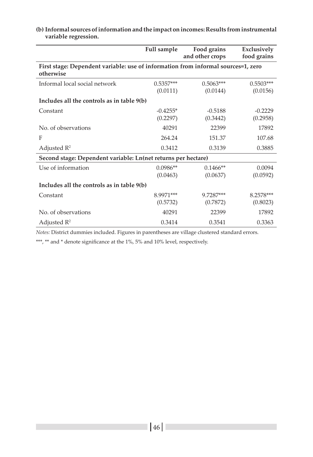|                                                                                                |             | and other crops | food grains |
|------------------------------------------------------------------------------------------------|-------------|-----------------|-------------|
| First stage: Dependent variable: use of information from informal sources=1, zero<br>otherwise |             |                 |             |
| Informal local social network                                                                  | $0.5357***$ | $0.5063***$     | $0.5503***$ |
|                                                                                                | (0.0111)    | (0.0144)        | (0.0156)    |
| Includes all the controls as in table 9(b)                                                     |             |                 |             |
| Constant                                                                                       | $-0.4255*$  | $-0.5188$       | $-0.2229$   |
|                                                                                                | (0.2297)    | (0.3442)        | (0.2958)    |
| No. of observations                                                                            | 40291       | 22399           | 17892       |
| F                                                                                              | 264.24      | 151.37          | 107.68      |
| Adjusted $\mathbb{R}^2$                                                                        | 0.3412      | 0.3139          | 0.3885      |
| Second stage: Dependent variable: Ln(net returns per hectare)                                  |             |                 |             |
| Use of information                                                                             | $0.0986**$  | $0.1466**$      | 0.0094      |
|                                                                                                | (0.0463)    | (0.0637)        | (0.0592)    |
| Includes all the controls as in table 9(b)                                                     |             |                 |             |
| Constant                                                                                       | 8.9971***   | 9.7287***       | 8.2578***   |
|                                                                                                | (0.5732)    | (0.7872)        | (0.8023)    |
| No. of observations                                                                            | 40291       | 22399           | 17892       |
| Adjusted $\mathbb{R}^2$                                                                        | 0.3414      | 0.3541          | 0.3363      |

#### **(b) Informal sources of information and the impact on incomes: Results from instrumental variable regression.**

**Full sample Food grains** 

**Exclusively** 

*Notes:* District dummies included. Figures in parentheses are village clustered standard errors.

\*\*\*, \*\* and \* denote significance at the 1%, 5% and 10% level, respectively.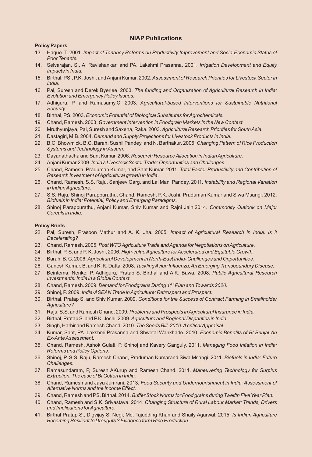#### **NIAP Publications**

#### **Policy Papers**

- 13. Haque. T. 2001. *Impact of Tenancy Reforms on Productivity Improvement and Socio-Economic Status of Poor Tenants.*
- 14. Selvarajan, S., A. Ravishankar, and PA. Lakshmi Prasanna. 2001. *Irrigation Development and Equity Impacts in India.*
- 15. Birthal, PS., P.K. Joshi, and Anjani Kumar, 2002. *Assessment of Research Priorities for Livestock Sector in India.*
- 16. Pal, Suresh and Derek Byerlee. 2003. *The funding and Organization of Agricultural Research in India: Evolution and Emergency Policy Issues.*
- 17. Adhiguru, P. and Ramasamy,C. 2003. *Agricultural-based Interventions for Sustainable Nutritional Security.*
- 18. Birthal, PS. 2003. *Economic Potential of Biological Substitutes for Agrochemicals.*
- 19. Chand, Ramesh. 2003. *Government Intervention in Foodgrain Markets in the New Context.*
- 20. Mruthyunjaya, Pal, Suresh and Saxena, Raka. 2003. *Agricultural Research Priorities for South Asia*.
- 21. Dastagiri, M.B. 2004. *Demand and Supply Projections for Livestock Products in India*.
- 22. B.C. Bhowmick, B.C. Barah, Sushil Pandey, and N. Barthakur. 2005. *Changing Pattern of Rice Production Systems and Technology in Assam.*
- 23. DayanathaJha and Sant Kumar. 2006. *Research Resource Allocation in Indian Agriculture.*
- 24. Anjani Kumar.2009. *India's Livestock Sector Trade: Opportunities and Challenges.*
- 25. Chand, Ramesh, Praduman Kumar, and Sant Kumar. 2011. *Total Factor Productivity and Contribution of Research Investment of Agricultural growth in India.*
- 26. Chand, Ramesh, S.S. Raju, Sanjeev Garg, and Lai Mani Pandey. 2011. *Instability and Regional Variation in Indian Agriculture.*
- 27. S.S. Raju, Shinoj Parappurathu, Chand, Ramesh, P.K. Joshi, Praduman Kumar and Siwa Msangi. 2012. *Biofuels in India: Potential, Policy and Emerging Paradigms.*
- 28. Shinoj Parappurathu, Anjani Kumar, Shiv Kumar and Rajni Jain.2014. *Commodity Outlook on Major Cereals in India.*

#### **Policy Briefs**

- 22. Pal, Suresh, Prasoon Mathur and A. K. Jha. 2005. *Impact of Agricultural Research in India: Is it Decelerating?*
- 23. Chand, Ramesh. 2005. *Post WTO Agriculture Trade and Agenda for Negotiations on Agriculture.*
- 24. Birthal, P. S. and P. K. Joshi, 2006. *High-value Agriculture for Accelerated and Equitable Growth.*
- 25. Barah, B. C. 2006. *Agricultural Development in North-East India- Challenges and Opportunities.*
- 26. Ganesh Kumar, B. and K. K. Datta. 2008. *Tackling Avian Influenza, An Emerging Transboundary Disease.*
- 27. Beintema, Nenke, P. Adhiguru, Pratap S. Birthal and A.K. Bawa. 2008. *Public Agricultural Research Investments: India in a Global Context.*
- 28. Chand, Ramesh. 2009. *Demand for Foodgrains During 11" Plan and Towards 2020.*
- 29. Shinoj, P. 2009. *India-ASEAN Trade in Agriculture: Retrospect and Prospect.*
- 30. Birthal, Pratap S. and Shiv Kumar. 2009. *Conditions for the Success of Contract Farming in Smallholder Agriculture?*
- 31. Raju, S.S. and Ramesh Chand. 2009. *Problems and Prospects in Agricultural Insurance in India.*
- 32. Birthal, Pratap S. and P.K. Joshi. 2009. *Agriculture and Regional Disparities in India.*
- 33. Singh, Harbir and Ramesh Chand. 2010. *The Seeds Bill, 2010: Acritical Appraisal*.
- 34. Kumar, Sant, PA. Lakshmi Prasanna and Shwetal Wankhade. 2010. *Economic Benefits of Bt Brinjal-An Ex-Ante Assessment.*
- 35. Chand, Ramesh, Ashok Gulati, P. Shinoj and Kavery Ganguly. 2011. *Managing Food Inflation in India: Reforms and Policy Options.*
- 36. Shinoj, P, S.S. Raju, Ramesh Chand, Praduman Kumarand Siwa Msangi. 2011. *Biofuels in India: Future Challenges.*
- 37. Ramasundaram, P, Suresh AKurup and Ramesh Chand. 2011. *Maneuvering Technology for Surplus Extraction: The case of Bt Cotton in India.*
- 38. Chand, Ramesh and Jaya Jumrani. 2013. *Food Security and Undernourishment in India: Assessment of Alternative Norms and the Income Effect.*
- 39. Chand, Ramesh and PS. Birthal. 2014. *Buffer Stock Norms for Food grains during Twelfth Five Year Plan.*
- 40. Chand, Ramesh and S.K. Srivastava. 2014. *Changing Structure of Rural Labour Market: Trends, Drivers and Implications for Agriculture.*
- 41. Birthal Pratap S., Digvijay S. Negi, Md. Tajudding Khan and Shaily Agarwal. 2015. *Is Indian Agriculture Becoming Resilient to Droughts ? Evidence form Rice Production.*